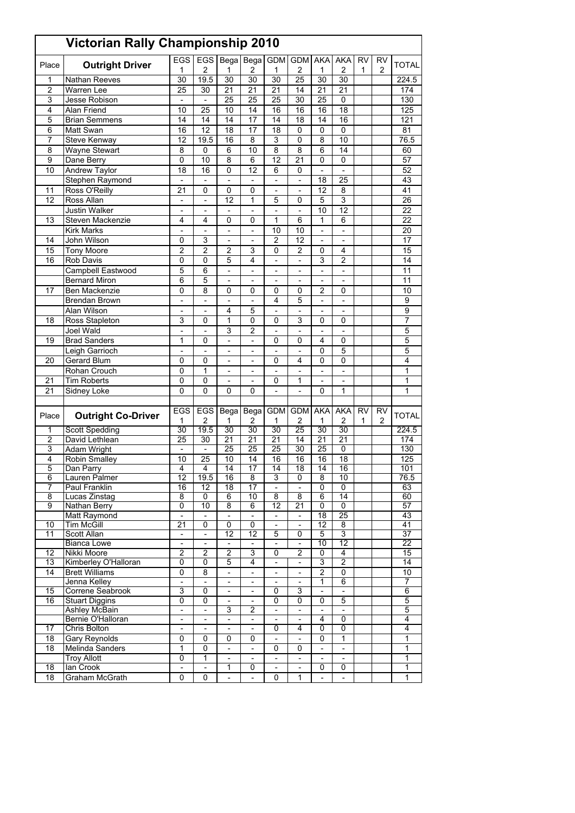|                     | <b>Victorian Rally Championship 2010</b> |                                           |                                                      |                                            |                                            |                               |                              |                              |                                 |                           |                |                                |
|---------------------|------------------------------------------|-------------------------------------------|------------------------------------------------------|--------------------------------------------|--------------------------------------------|-------------------------------|------------------------------|------------------------------|---------------------------------|---------------------------|----------------|--------------------------------|
| Place               | <b>Outright Driver</b>                   | EGS<br>1                                  | <b>EGS</b><br>2                                      | <b>Bega</b><br>1                           | Bega<br>2                                  | <b>GDM</b><br>1               | <b>GDM</b><br>$\overline{2}$ | AKA<br>1                     | <b>AKA</b><br>$\overline{2}$    | <b>RV</b><br>$\mathbf{1}$ | <b>RV</b><br>2 | TOTAL                          |
| 1                   | Nathan Reeves                            | 30                                        | 19.5                                                 | 30                                         | 30                                         | 30                            | 25                           | 30                           | 30                              |                           |                | 224.5                          |
| 2                   | <b>Warren Lee</b>                        | 25                                        | 30                                                   | 21                                         | 21                                         | 21                            | 14                           | 21                           | 21                              |                           |                | 174                            |
| 3                   | Jesse Robison                            | $\overline{a}$                            | $\overline{\phantom{a}}$                             | $\overline{25}$                            | 25                                         | 25                            | 30                           | 25                           | 0                               |                           |                | 130                            |
| 4                   | Alan Friend                              | 10                                        | 25                                                   | 10                                         | 14                                         | 16                            | 16                           | 16                           | 18                              |                           |                | 125                            |
| 5                   | <b>Brian Semmens</b>                     | 14                                        | 14                                                   | 14                                         | 17                                         | 14                            | 18                           | 14                           | 16                              |                           |                | 121                            |
| 6                   | Matt Swan                                | 16                                        | $\overline{12}$                                      | 18                                         | 17                                         | 18                            | 0                            | 0                            | 0                               |                           |                | 81                             |
| 7                   | Steve Kenway                             | 12                                        | 19.5                                                 | 16                                         | 8                                          | 3                             | 0                            | 8                            | 10                              |                           |                | 76.5                           |
| 8                   | <b>Wayne Stewart</b>                     | 8                                         | 0                                                    | 6                                          | 10                                         | 8                             | 8                            | 6                            | 14                              |                           |                | 60                             |
| 9                   | Dane Berry                               | 0                                         | 10                                                   | 8                                          | 6                                          | 12                            | 21                           | 0                            | 0                               |                           |                | 57                             |
| 10                  | Andrew Taylor                            | 18                                        | 16                                                   | 0                                          | 12                                         | 6                             | 0                            | $\overline{a}$               | $\overline{a}$                  |                           |                | 52                             |
|                     | Stephen Raymond                          | $\overline{a}$                            |                                                      |                                            |                                            | L                             | $\overline{a}$               | 18                           | 25                              |                           |                | 43                             |
| 11                  | Ross O'Reilly                            | 21                                        | 0                                                    | 0                                          | 0                                          | $\overline{a}$                | $\overline{a}$               | 12                           | 8                               |                           |                | 41                             |
| 12                  | Ross Allan                               | $\qquad \qquad \blacksquare$              | $\qquad \qquad \blacksquare$                         | 12                                         | 1                                          | 5                             | 0                            | 5                            | 3                               |                           |                | 26                             |
|                     | <b>Justin Walker</b>                     | $\overline{\phantom{a}}$                  | $\overline{\phantom{a}}$                             | $\overline{\phantom{a}}$                   | $\overline{\phantom{0}}$                   | $\overline{a}$                | $\overline{\phantom{0}}$     | 10                           | 12                              |                           |                | 22                             |
| 13                  | Steven Mackenzie<br><b>Kirk Marks</b>    | 4<br>$\frac{1}{2}$                        | 4<br>$\overline{a}$                                  | 0<br>$\overline{a}$                        | 0<br>$\overline{\phantom{0}}$              | 1<br>10                       | 6<br>10                      | 1<br>$\overline{a}$          | 6<br>$\overline{a}$             |                           |                | 22<br>20                       |
| 14                  | John Wilson                              | 0                                         | 3                                                    |                                            |                                            | 2                             | 12                           | $\overline{a}$               |                                 |                           |                | 17                             |
| 15                  |                                          | $\overline{2}$                            | $\overline{2}$                                       | $\overline{\phantom{a}}$<br>2              | -<br>3                                     | 0                             | $\overline{2}$               | 0                            | $\overline{a}$<br>4             |                           |                | 15                             |
| 16                  | <b>Tony Moore</b><br><b>Rob Davis</b>    | $\mathbf 0$                               | $\overline{0}$                                       | 5                                          | 4                                          | L                             | $\overline{a}$               | 3                            | $\overline{2}$                  |                           |                | 14                             |
|                     | Campbell Eastwood                        | 5                                         | 6                                                    | $\blacksquare$                             | $\frac{1}{2}$                              | $\overline{\phantom{a}}$      | $\overline{\phantom{a}}$     | $\qquad \qquad \blacksquare$ | $\overline{a}$                  |                           |                | 11                             |
|                     | <b>Bernard Miron</b>                     | 6                                         | 5                                                    |                                            | -                                          | ۰                             |                              |                              | ۰                               |                           |                | 11                             |
| 17                  | Ben Mackenzie                            | 0                                         | 8                                                    | 0                                          | 0                                          | 0                             | 0                            | 2                            | 0                               |                           |                | 10                             |
|                     | Brendan Brown                            | $\overline{a}$                            | $\overline{a}$                                       | $\overline{a}$                             | $\overline{a}$                             | 4                             | 5                            | $\overline{a}$               | $\overline{a}$                  |                           |                | 9                              |
|                     | Alan Wilson                              | $\overline{a}$                            | $\overline{\phantom{0}}$                             | 4                                          | 5                                          | $\overline{\phantom{a}}$      | $\overline{a}$               | $\overline{a}$               | $\overline{a}$                  |                           |                | 9                              |
| 18                  | Ross Stapleton                           | 3                                         | 0                                                    | 1                                          | 0                                          | 0                             | 3                            | 0                            | 0                               |                           |                | $\overline{7}$                 |
|                     | Joel Wald                                | $\overline{a}$                            |                                                      | 3                                          | $\overline{c}$                             |                               |                              |                              |                                 |                           |                | 5                              |
| 19                  | <b>Brad Sanders</b>                      | 1                                         | 0                                                    | $\frac{1}{2}$                              | $\overline{\phantom{0}}$                   | 0                             | 0                            | 4                            | 0                               |                           |                | 5                              |
|                     | Leigh Garrioch                           | $\overline{\phantom{a}}$                  | $\frac{1}{2}$                                        | $\overline{\phantom{a}}$                   | $\overline{a}$                             | $\overline{a}$                | $\overline{a}$               | 0                            | 5                               |                           |                | 5                              |
| 20                  | Gerard Blum                              | 0                                         | 0                                                    |                                            |                                            | 0                             | 4                            | 0                            | 0                               |                           |                | 4                              |
|                     | Rohan Crouch                             | 0                                         | 1                                                    | $\overline{a}$                             | $\overline{a}$                             |                               |                              | $\overline{a}$               |                                 |                           |                | 1                              |
| 21                  | <b>Tim Roberts</b>                       | $\mathbf 0$                               | 0                                                    | $\blacksquare$                             | $\overline{a}$                             | 0                             | 1                            | $\frac{1}{2}$                | $\overline{a}$                  |                           |                | 1                              |
| 21                  | Sidney Loke                              | 0                                         | 0                                                    | 0                                          | 0                                          | Ē,                            |                              | 0                            | 1                               |                           |                | 1                              |
|                     |                                          |                                           |                                                      |                                            |                                            |                               |                              |                              |                                 |                           |                |                                |
| Place               | <b>Outright Co-Driver</b>                | <b>EGS</b>                                | <b>EGS</b>                                           | Bega                                       | Bega                                       | <b>GDM</b>                    | <b>GDM</b>                   | <b>AKA</b>                   | <b>AKA</b>                      | RV                        | RV             | <b>TOTAL</b>                   |
|                     |                                          | 1<br>30                                   | 2                                                    | 1                                          | 2                                          | 1<br>30                       | 2<br>25                      | 1<br>30                      | 2<br>30                         | 1                         | 2              |                                |
| 1<br>$\overline{2}$ | <b>Scott Spedding</b><br>David Lethlean  | $\overline{25}$                           | 19.5<br>30                                           | 30<br>$\overline{21}$                      | 30<br>21                                   | 21                            | 14                           | 21                           | 21                              |                           |                | 224.5<br>174                   |
| 3                   | Adam Wright                              | $\frac{1}{2}$                             | $\frac{1}{2}$                                        | 25                                         | 25                                         | 25                            | 30                           | 25                           | 0                               |                           |                | 130                            |
| 4                   | <b>Robin Smalley</b>                     | 10                                        | 25                                                   | 10                                         | 14                                         | 16                            | 16                           | 16                           | 18                              |                           |                | 125                            |
| 5                   | Dan Parry                                | 4                                         | 4                                                    | 14                                         | 17                                         | 14                            | 18                           | 14                           | 16                              |                           |                | 101                            |
| 6                   | Lauren Palmer                            | 12                                        | 19.5                                                 | 16                                         | 8                                          | 3                             | 0                            | 8                            | 10                              |                           |                | 76.5                           |
| 7                   | Paul Franklin                            | 16                                        | 12                                                   | 18                                         | 17                                         | $\overline{\phantom{a}}$      | $\overline{\phantom{a}}$     | 0                            | $\overline{0}$                  |                           |                | 63                             |
| $\overline{8}$      | Lucas Zinstag                            | $\overline{8}$                            | $\overline{0}$                                       | 6                                          | 10                                         | $\overline{8}$                | $\overline{8}$               | 6                            | 14                              |                           |                | 60                             |
| $\overline{9}$      | Nathan Berry                             | 0                                         | 10                                                   | 8                                          | 6                                          | 12                            | 21                           | 0                            | 0                               |                           |                | 57                             |
|                     | <b>Matt Raymond</b>                      | $\overline{a}$                            | $\frac{1}{2}$                                        | $\overline{\phantom{a}}$                   | Ξ                                          | $\overline{\phantom{a}}$      | $\frac{1}{2}$                | $\overline{18}$              | 25                              |                           |                | 43                             |
| 10                  | <b>Tim McGill</b>                        | $\overline{21}$                           | 0                                                    | 0                                          | 0                                          | $\blacksquare$                | $\overline{\phantom{0}}$     | $\overline{12}$              | $\overline{\mathbf{8}}$         |                           |                | 41                             |
| 11                  | Scott Allan<br><b>Bianca Lowe</b>        | $\overline{\phantom{a}}$<br>$\frac{1}{2}$ | $\overline{\phantom{a}}$<br>$\overline{\phantom{a}}$ | 12<br>$\blacksquare$                       | 12<br>÷,                                   | 5<br>$\overline{\phantom{a}}$ | 0<br>$\blacksquare$          | 5<br>10                      | 3<br>$\overline{12}$            |                           |                | 37<br>$\overline{22}$          |
| 12                  | Nikki Moore                              | $\overline{2}$                            | 2                                                    | $\overline{2}$                             | 3                                          | 0                             | $\overline{2}$               | 0                            | $\overline{4}$                  |                           |                | 15                             |
| $\overline{13}$     | Kimberley O'Halloran                     | $\overline{0}$                            | 0                                                    | 5                                          | 4                                          |                               | $\overline{\phantom{0}}$     | 3                            | 2                               |                           |                | 14                             |
| 14                  | <b>Brett Williams</b>                    | 0                                         | 8                                                    | ä,                                         | $\equiv$                                   | $\Box$                        | ä,                           | $\overline{2}$               | 0                               |                           |                | 10                             |
|                     | Jenna Kelley                             | $\overline{\phantom{0}}$                  | $\overline{\phantom{a}}$                             | $\overline{\phantom{a}}$                   | $\overline{\phantom{0}}$                   | $\overline{\phantom{a}}$      | $\overline{\phantom{0}}$     | 1                            | $6\overline{6}$                 |                           |                | 7                              |
| $\overline{15}$     | Correne Seabrook                         | 3                                         | 0                                                    |                                            |                                            | 0                             | 3                            |                              |                                 |                           |                | 6                              |
| 16                  | <b>Stuart Diggins</b>                    | $\overline{0}$                            | 0                                                    | $\overline{\phantom{a}}$                   | $\overline{\phantom{0}}$                   | 0                             | 0                            | 0                            | 5                               |                           |                | $\overline{5}$                 |
|                     | Ashley McBain                            | $\overline{\phantom{0}}$                  | $\overline{\phantom{a}}$                             | 3                                          | 2                                          | $\overline{\phantom{0}}$      | $\overline{\phantom{0}}$     | $\overline{\phantom{a}}$     | $\overline{\phantom{a}}$        |                           |                | 5                              |
|                     | Bernie O'Halloran                        | $\frac{1}{2}$                             | $\blacksquare$                                       | $\blacksquare$                             | $\blacksquare$                             | $\overline{\phantom{a}}$      | $\overline{\phantom{0}}$     | 4                            | $\overline{0}$                  |                           |                | $\overline{4}$                 |
| $\overline{17}$     | Chris Bolton                             | $\frac{1}{2}$                             | $\blacksquare$                                       | $\overline{\phantom{a}}$                   | $\overline{\phantom{0}}$                   | 0                             | 4                            | 0                            | 0                               |                           |                | 4                              |
| 18                  | Gary Reynolds                            | 0                                         | $\mathbf 0$                                          | 0                                          | 0                                          | $\overline{\phantom{a}}$      | $\overline{\phantom{0}}$     | 0                            | $\mathbf{1}$                    |                           |                | $\mathbf{1}$                   |
| 18                  | Melinda Sanders<br><b>Troy Allott</b>    | 1<br>$\overline{0}$                       | 0<br>1                                               | $\blacksquare$<br>$\overline{\phantom{a}}$ | $\overline{a}$<br>$\overline{\phantom{a}}$ | 0<br>$\overline{\phantom{a}}$ | 0<br>÷,                      | $\frac{1}{2}$<br>$\Box$      | $\frac{1}{2}$<br>$\blacksquare$ |                           |                | $\mathbf{1}$<br>$\overline{1}$ |
| 18                  | lan Crook                                | $\overline{\phantom{a}}$                  | $\overline{\phantom{a}}$                             | 1                                          | 0                                          | $\overline{\phantom{a}}$      | $\overline{\phantom{a}}$     | 0                            | 0                               |                           |                | 1                              |
| 18                  | Graham McGrath                           | 0                                         | $\mathbf 0$                                          |                                            | $\overline{\phantom{0}}$                   | 0                             | 1                            |                              |                                 |                           |                | $\mathbf{1}$                   |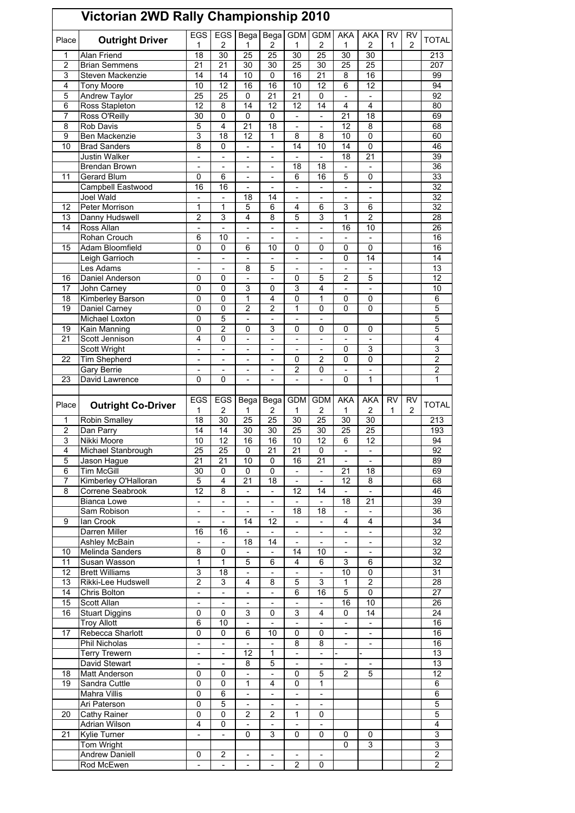|                | Victorian 2WD Rally Championship 2010       |                              |                               |                                  |                          |                          |                          |                     |                                                      |                |                |                                  |
|----------------|---------------------------------------------|------------------------------|-------------------------------|----------------------------------|--------------------------|--------------------------|--------------------------|---------------------|------------------------------------------------------|----------------|----------------|----------------------------------|
| Place          | <b>Outright Driver</b>                      | <b>EGS</b><br>1              | <b>EGS</b><br>2               | Bega<br>1                        | Bega<br>2                | <b>GDM</b><br>1          | <b>GDM</b><br>2          | <b>AKA</b><br>1     | <b>AKA</b><br>2                                      | <b>RV</b><br>1 | <b>RV</b><br>2 | <b>TOTAL</b>                     |
| 1              | Alan Friend                                 | $\overline{18}$              | $\overline{30}$               | 25                               | $\overline{25}$          | $\overline{30}$          | 25                       | $\overline{30}$     | 30                                                   |                |                | 213                              |
| 2              | <b>Brian Semmens</b>                        | 21                           | 21                            | 30                               | 30                       | $\overline{25}$          | 30                       | 25                  | 25                                                   |                |                | 207                              |
| 3              | Steven Mackenzie                            | 14                           | 14                            | 10                               | 0                        | 16                       | 21                       | 8                   | 16                                                   |                |                | 99                               |
| 4              | <b>Tony Moore</b>                           | 10                           | 12                            | 16                               | 16                       | 10                       | 12                       | 6                   | 12                                                   |                |                | 94                               |
| 5              | Andrew Taylor                               | 25                           | 25                            | 0                                | $\overline{21}$          | $\overline{21}$          | 0                        |                     |                                                      |                |                | 92                               |
| 6              | Ross Stapleton                              | 12                           | 8                             | 14                               | $\overline{12}$          | $\overline{12}$          | 14                       | 4                   | $\overline{4}$                                       |                |                | 80                               |
| 7              | Ross O'Reilly                               | 30                           | 0                             | 0                                | 0                        | $\overline{a}$           | $\frac{1}{2}$            | 21                  | 18                                                   |                |                | 69                               |
| 8              | Rob Davis                                   | 5                            | 4                             | 21                               | 18                       | L,                       |                          | 12                  | 8                                                    |                |                | 68                               |
| 9              | Ben Mackenzie                               | 3                            | 18                            | $\overline{12}$                  | 1                        | 8                        | 8                        | 10                  | 0                                                    |                |                | 60                               |
| 10             | <b>Brad Sanders</b>                         | 8                            | 0                             | $\overline{a}$                   | $\overline{a}$           | 14                       | 10                       | 14                  | $\mathbf 0$                                          |                |                | 46                               |
|                | Justin Walker                               | $\overline{a}$               | $\overline{\phantom{0}}$      | $\overline{a}$                   | $\overline{a}$           | $\overline{a}$           | $\overline{\phantom{0}}$ | 18                  | 21                                                   |                |                | 39                               |
| 11             | <b>Brendan Brown</b>                        |                              |                               | $\overline{a}$                   | $\overline{a}$<br>L      | 18                       | 18                       | 5                   | $\overline{\phantom{0}}$<br>0                        |                |                | $\overline{36}$<br>33            |
|                | Gerard Blum<br>Campbell Eastwood            | 0<br>16                      | 6<br>16                       | $\overline{a}$<br>$\overline{a}$ | $\overline{a}$           | 6<br>$\overline{a}$      | 16<br>$\overline{a}$     | $\overline{a}$      | $\overline{a}$                                       |                |                | 32                               |
|                | Joel Wald                                   | $\overline{a}$               | $\overline{\phantom{0}}$      | 18                               | 14                       | $\overline{a}$           | $\overline{a}$           | $\overline{a}$      | $\frac{1}{2}$                                        |                |                | 32                               |
| 12             | Peter Morrison                              | 1                            | 1                             | 5                                | 6                        | 4                        | 6                        | 3                   | 6                                                    |                |                | 32                               |
| 13             | Danny Hudswell                              | $\overline{2}$               | 3                             | 4                                | 8                        | 5                        | 3                        | $\overline{1}$      | $\overline{2}$                                       |                |                | 28                               |
| 14             | Ross Allan                                  | $\overline{a}$               | $\overline{a}$                | $\overline{a}$                   | $\overline{a}$           | $\overline{a}$           | $\overline{a}$           | 16                  | 10                                                   |                |                | 26                               |
|                | Rohan Crouch                                | 6                            | 10                            | $\overline{a}$                   | $\overline{a}$           | $\overline{a}$           | $\overline{\phantom{0}}$ |                     | $\overline{a}$                                       |                |                | 16                               |
| 15             | Adam Bloomfield                             | 0                            | 0                             | 6                                | 10                       | 0                        | 0                        | 0                   | $\mathbf 0$                                          |                |                | 16                               |
|                | Leigh Garrioch                              |                              |                               |                                  |                          |                          |                          | 0                   | $\overline{14}$                                      |                |                | 14                               |
|                | Les Adams                                   | $\overline{a}$               | $\overline{a}$                | 8                                | 5                        | $\overline{a}$           | ÷,                       | $\overline{a}$      | $\overline{a}$                                       |                |                | 13                               |
| 16             | Daniel Anderson                             | 0                            | 0                             | $\overline{a}$                   | $\overline{a}$           | 0                        | 5                        | $\overline{2}$      | 5                                                    |                |                | 12                               |
| 17             | John Carney                                 | 0                            | 0                             | 3                                | 0                        | 3                        | 4                        |                     | ٠                                                    |                |                | 10                               |
| 18             | <b>Kimberley Barson</b>                     | 0                            | 0                             | $\overline{1}$                   | 4                        | $\mathbf 0$              | 1                        | 0                   | 0                                                    |                |                | 6                                |
| 19             | Daniel Carney                               | 0                            | 0                             | 2                                | $\overline{2}$           | 1                        | 0                        | 0                   | 0                                                    |                |                | 5                                |
|                | <b>Michael Loxton</b>                       | 0                            | 5                             | $\overline{a}$                   | $\overline{a}$           | $\overline{a}$           | $\overline{a}$           |                     |                                                      |                |                | 5                                |
| 19             | Kain Manning                                | 0                            | 2                             | 0                                | 3                        | 0                        | 0                        | 0                   | 0                                                    |                |                | 5                                |
| 21             | Scott Jennison                              | 4                            | 0                             | $\overline{a}$                   | $\overline{a}$           |                          |                          |                     |                                                      |                |                | 4                                |
|                | Scott Wright                                | $\overline{a}$               | $\overline{a}$                | ÷,                               | $\overline{a}$           | $\overline{a}$           | $\overline{a}$           | $\mathbf 0$         | 3                                                    |                |                | 3                                |
| 22             | <b>Tim Shepherd</b>                         | $\overline{\phantom{0}}$     | $\overline{\phantom{0}}$      | $\overline{a}$                   | $\overline{a}$           | 0                        | 2                        | 0                   | 0                                                    |                |                | 2                                |
|                | <b>Gary Berrie</b>                          |                              |                               |                                  | L                        | $\overline{2}$           | 0                        |                     | $\overline{\phantom{0}}$                             |                |                | 2                                |
| 23             | David Lawrence                              | 0                            | 0                             | $\overline{a}$                   | L                        |                          |                          | 0                   | 1                                                    |                |                | 1                                |
|                |                                             |                              |                               |                                  |                          |                          |                          |                     |                                                      |                |                |                                  |
|                |                                             |                              |                               |                                  |                          |                          |                          |                     |                                                      |                |                |                                  |
|                |                                             | <b>EGS</b>                   | EGS                           | Bega                             | <b>Bega</b>              | <b>GDM</b>               | <b>GDM</b>               | <b>AKA</b>          | <b>AKA</b>                                           | <b>RV</b>      | <b>RV</b>      |                                  |
| Place          | <b>Outright Co-Driver</b>                   | 1                            | 2                             | 1                                | 2                        | 1                        | 2                        | 1                   | 2                                                    | 1              | 2              | <b>TOTAL</b>                     |
| 1              | Robin Smalley                               | 18                           | $\overline{30}$               | 25                               | $\overline{25}$          | $\overline{30}$          | 25                       | 30                  | 30                                                   |                |                | 213                              |
| $\overline{2}$ | Dan Parry                                   | 14                           | 14                            | 30                               | 30                       | 25                       | 30                       | 25                  | 25                                                   |                |                | 193                              |
| 3              | Nikki Moore                                 | 10                           | 12                            | 16                               | 16                       | 10                       | 12                       | 6                   | 12                                                   |                |                | 94                               |
| 4              | Michael Stanbrough                          | $\overline{25}$              | 25                            | 0                                | 21                       | 21                       | 0                        |                     | $\overline{a}$                                       |                |                | 92                               |
| 5              | Jason Hague                                 | 21                           | 21                            | 10                               | 0                        | 16                       | 21                       |                     |                                                      |                |                | 89                               |
| 6              | <b>Tim McGill</b>                           | 30                           | 0                             | $\mathbf 0$                      | 0                        | $\Box$                   | $\overline{\phantom{a}}$ | 21                  | 18                                                   |                |                | 69                               |
| 7              | Kimberley O'Halloran                        | 5                            | 4                             | 21                               | 18                       | $\blacksquare$           | $\blacksquare$           | 12                  | 8                                                    |                |                | 68                               |
| 8              | Correne Seabrook                            | 12                           | $\overline{8}$                | $\overline{\phantom{a}}$         | $\overline{\phantom{0}}$ | 12                       | 14                       | $\blacksquare$      | $\blacksquare$                                       |                |                | 46                               |
|                | <b>Bianca Lowe</b>                          | $\overline{a}$               |                               | $\overline{\phantom{a}}$         | $\overline{\phantom{0}}$ |                          |                          | 18                  | 21                                                   |                |                | 39                               |
|                | Sam Robison                                 | $\overline{a}$               | $\overline{a}$                | $\overline{a}$                   | $\overline{a}$           | 18                       | 18                       | $\blacksquare$      | $\blacksquare$                                       |                |                | $\overline{36}$                  |
| 9              | lan Crook                                   | $\qquad \qquad \blacksquare$ | $\overline{\phantom{0}}$      | 14                               | 12                       | $\overline{\phantom{a}}$ | $\overline{\phantom{a}}$ | 4                   | 4                                                    |                |                | $\overline{34}$                  |
|                | Darren Miller                               | 16                           | 16                            | $\overline{\phantom{a}}$         | $\overline{a}$           | $\overline{a}$           | $\overline{\phantom{a}}$ |                     | $\overline{\phantom{a}}$<br>$\overline{\phantom{a}}$ |                |                | $\overline{32}$                  |
|                | <b>Ashley McBain</b>                        |                              |                               | 18                               | 14                       |                          |                          |                     |                                                      |                |                | 32                               |
| 10             | Melinda Sanders                             | 8                            | 0                             | $\overline{a}$                   | $\overline{\phantom{0}}$ | 14                       | 10                       | $\overline{a}$      | $\overline{a}$                                       |                |                | $\overline{32}$                  |
| 11             | Susan Wasson                                | 1                            | 1                             | 5<br>$\blacksquare$              | 6<br>$\overline{a}$      | 4<br>$\overline{a}$      | 6<br>$\frac{1}{2}$       | 3                   | 6                                                    |                |                | 32                               |
| 12             | <b>Brett Williams</b>                       | 3<br>$\overline{2}$          | 18                            | 4                                | 8                        |                          | 3                        | 10                  | $\pmb{0}$<br>$\overline{2}$                          |                |                | 31                               |
| 13<br>14       | Rikki-Lee Hudswell                          | $\overline{a}$               | 3<br>$\overline{\phantom{0}}$ | $\frac{1}{2}$                    | $\overline{a}$           | 5<br>6                   | 16                       | 1<br>$\overline{5}$ | $\pmb{0}$                                            |                |                | 28<br>27                         |
| 15             | Chris Bolton<br>Scott Allan                 | $\qquad \qquad \blacksquare$ | $\overline{\phantom{0}}$      | $\overline{\phantom{a}}$         | $\frac{1}{2}$            | $\blacksquare$           | $\blacksquare$           | 16                  | 10                                                   |                |                | $\overline{26}$                  |
| 16             |                                             | 0                            | 0                             | 3                                | 0                        | 3                        | 4                        | 0                   | 14                                                   |                |                | $\overline{24}$                  |
|                | <b>Stuart Diggins</b><br><b>Troy Allott</b> | 6                            | 10                            | $\overline{a}$                   | $\overline{\phantom{0}}$ |                          |                          |                     |                                                      |                |                | 16                               |
| 17             | Rebecca Sharlott                            | $\mathbf 0$                  | 0                             | 6                                | 10                       | $\pmb{0}$                | 0                        | $\overline{a}$      | L.                                                   |                |                | 16                               |
|                | <b>Phil Nicholas</b>                        | $\overline{\phantom{0}}$     | ÷,                            | $\frac{1}{2}$                    | $\frac{1}{2}$            | 8                        | 8                        | $\blacksquare$      | ÷,                                                   |                |                | 16                               |
|                | <b>Terry Trewern</b>                        | $\frac{1}{2}$                | $\overline{\phantom{0}}$      | 12                               | 1                        | $\overline{a}$           | $\frac{1}{2}$            |                     |                                                      |                |                | $\overline{13}$                  |
|                | David Stewart                               |                              |                               | 8                                | $\overline{5}$           |                          |                          |                     |                                                      |                |                | 13                               |
| 18             | Matt Anderson                               | 0                            | 0                             | $\overline{a}$                   | $\overline{a}$           | 0                        | 5                        | $\overline{2}$      | 5                                                    |                |                | 12                               |
| 19             | Sandra Cuttle                               | 0                            | 0                             | 1                                | 4                        | 0                        | 1                        |                     |                                                      |                |                | 6                                |
|                | <b>Mahra Villis</b>                         | $\pmb{0}$                    | 6                             | $\overline{a}$                   | $\frac{1}{2}$            | $\overline{a}$           | $\overline{\phantom{a}}$ |                     |                                                      |                |                | 6                                |
|                | Ari Paterson                                | $\mathbf 0$                  | 5                             |                                  | $\overline{\phantom{0}}$ |                          |                          |                     |                                                      |                |                | $\overline{5}$                   |
| 20             | <b>Cathy Rainer</b>                         | $\pmb{0}$                    | 0                             | $\overline{2}$                   | $\overline{2}$           | $\mathbf{1}$             | 0                        |                     |                                                      |                |                | 5                                |
|                | <b>Adrian Wilson</b>                        | $\overline{4}$               | 0                             | $\blacksquare$                   | $\blacksquare$           | $\blacksquare$           | $\blacksquare$           |                     |                                                      |                |                | 4                                |
| 21             | <b>Kylie Turner</b>                         | $\overline{a}$               | $\overline{\phantom{0}}$      | 0                                | 3                        | 0                        | 0                        | 0                   | 0                                                    |                |                | 3                                |
|                | Tom Wright                                  |                              |                               |                                  |                          |                          |                          | 0                   | 3                                                    |                |                | $\overline{3}$                   |
|                | <b>Andrew Daniell</b><br>Rod McEwen         | 0<br>$\frac{1}{2}$           | $\overline{2}$                | $\overline{\phantom{a}}$         | ÷,                       | $\overline{c}$           | $\blacksquare$<br>0      |                     |                                                      |                |                | $\overline{2}$<br>$\overline{2}$ |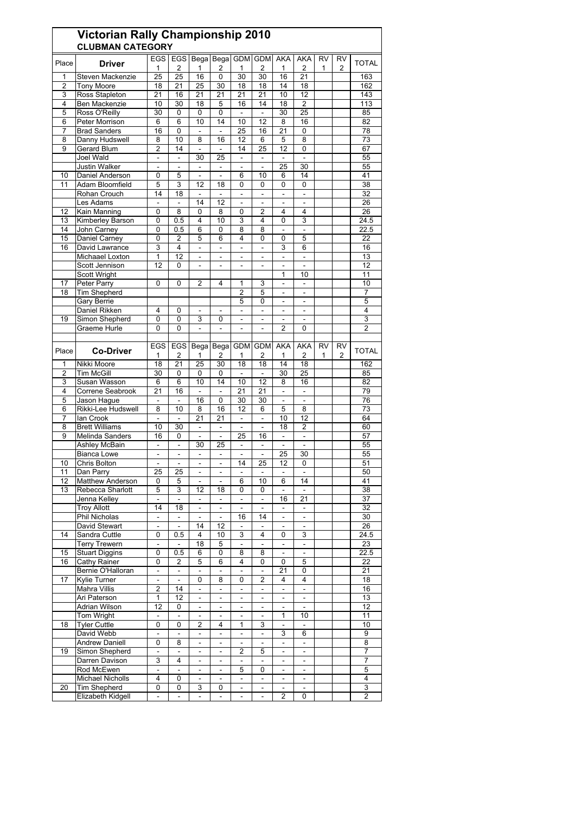| <b>EGS</b><br><b>EGS</b><br>Bega Bega GDM<br><b>GDM</b><br><b>AKA</b><br>AKA<br><b>RV</b><br>RV<br>Place<br><b>Driver</b><br><b>TOTAL</b><br>$\overline{2}$<br>1<br>2<br>2<br>1<br>2<br>1<br>1<br>2<br>1<br>30<br>Steven Mackenzie<br>25<br>25<br>16<br>30<br>16<br>163<br>0<br>21<br>1<br>$\overline{2}$<br><b>Tony Moore</b><br>18<br>21<br>14<br>18<br>162<br>25<br>30<br>18<br>18<br>3<br>Ross Stapleton<br>21<br>21<br>21<br>21<br>21<br>10<br>12<br>143<br>16<br>Ben Mackenzie<br>$\overline{2}$<br>30<br>18<br>16<br>14<br>113<br>4<br>10<br>5<br>18<br>5<br>Ross O'Reilly<br>30<br>$\mathbf 0$<br>0<br>0<br>30<br>25<br>85<br>÷,<br>$\overline{a}$<br>Peter Morrison<br>6<br>10<br>10<br>12<br>82<br>6<br>14<br>8<br>16<br>6<br><b>Brad Sanders</b><br>16<br>0<br>25<br>21<br>0<br>78<br>7<br>16<br>10<br>12<br>$\overline{73}$<br>Danny Hudswell<br>8<br>8<br>16<br>6<br>5<br>8<br>8<br>Gerard Blum<br>2<br>14<br>14<br>25<br>12<br>9<br>$\Box$<br>0<br>67<br>$\blacksquare$<br>Joel Wald<br>25<br>55<br>30<br>$\overline{\phantom{a}}$<br>$\overline{a}$<br>$\overline{\phantom{a}}$<br>÷,<br>$\overline{\phantom{a}}$<br>$\overline{a}$<br>25<br>30<br><b>Justin Walker</b><br>55<br>$\overline{a}$<br>$\overline{a}$<br>Ξ<br>÷,<br>÷,<br>$\blacksquare$<br>Daniel Anderson<br>14<br>41<br>0<br>5<br>6<br>10<br>10<br>6<br>$\bar{a}$<br>$\overline{\phantom{a}}$<br>$\overline{3}$<br>5<br>12<br>$\Omega$<br>0<br>38<br>Adam Bloomfield<br>18<br>0<br>0<br>11<br>Rohan Crouch<br>32<br>14<br>18<br>÷,<br>$\bar{a}$<br>$\overline{\phantom{a}}$<br>÷,<br>$\blacksquare$<br>$\overline{a}$<br>26<br>Les Adams<br>14<br>12<br>$\overline{2}$<br>4<br>26<br>12<br>Kain Manning<br>0<br>8<br>0<br>8<br>0<br>4<br>Kimberley Barson<br>0.5<br>10<br>3<br>4<br>3<br>24.5<br>13<br>0<br>4<br>0<br>John Carney<br>6<br>8<br>8<br>22.5<br>14<br>0<br>0.5<br>0<br>÷,<br>-<br>Daniel Carney<br>22<br>15<br>0<br>2<br>5<br>6<br>4<br>5<br>0<br>0<br>David Lawrance<br>3<br>4<br>6<br>16<br>16<br>3<br>Ξ<br>$\overline{a}$<br>÷,<br>÷,<br>Michaael Loxton<br>12<br>13<br>1<br>÷,<br>L,<br>÷,<br>ä,<br>$\blacksquare$<br>12<br>Scott Jennison<br>$\Omega$<br>12<br>÷,<br>$\bar{\phantom{a}}$<br>÷,<br>$\overline{\phantom{a}}$<br>$\overline{a}$<br>÷,<br><b>Scott Wright</b><br>1<br>11<br>10<br>Peter Parry<br>10<br>17<br>0<br>0<br>2<br>4<br>1<br>3<br>÷,<br>$\overline{a}$<br><b>Tim Shepherd</b><br>18<br>2<br>5<br>7<br>٠<br>$\overline{\phantom{m}}$<br>Gary Berrie<br>5<br>5<br>0<br>Daniel Rikken<br>4<br>4<br>0<br>÷,<br>÷,<br>ä,<br>-<br>$\blacksquare$<br>$\overline{\phantom{a}}$<br>3<br>19<br>Simon Shepherd<br>0<br>0<br>3<br>0<br>$\overline{\phantom{a}}$<br>$\qquad \qquad \blacksquare$<br>0<br>$\overline{2}$<br>2<br>Graeme Hurle<br>0<br>0<br>$\overline{a}$<br>$\blacksquare$<br>$\blacksquare$<br>$\blacksquare$<br><b>EGS</b><br><b>EGS</b><br><b>GDM</b><br><b>GDM</b><br><b>AKA</b><br>AKA<br><b>RV</b><br><b>RV</b><br>Bega<br>Bega<br>Place<br><b>TOTAL</b><br><b>Co-Driver</b><br>2<br>1<br>2<br>1<br>2<br>1<br>2<br>1<br>1<br>2<br>Nikki Moore<br>18<br>21<br>25<br>30<br>18<br>18<br>14<br>18<br>162<br>1<br><b>Tim McGill</b><br>30<br>25<br>2<br>30<br>0<br>0<br>0<br>85<br>$\Box$<br>÷,<br>Susan Wasson<br>6<br>10<br>14<br>12<br>16<br>3<br>6<br>10<br>8<br>82<br>4<br>Correne Seabrook<br>21<br>16<br>21<br>21<br>79<br>÷,<br>Jason Haque<br>16<br>0<br>30<br>30<br>76<br>5<br>L,<br>$\overline{a}$<br>8<br>10<br>12<br>8<br>$\overline{73}$<br>6<br>Rikki-Lee Hudswell<br>8<br>16<br>6<br>5<br>lan Crook<br>21<br>21<br>10<br>12<br>64<br>7<br>÷.<br>÷,<br>$\overline{\phantom{a}}$<br>$\sim$<br>8<br><b>Brett Williams</b><br>$\overline{2}$<br>60<br>10<br>30<br>18<br>ä,<br>$\overline{\phantom{a}}$<br>÷,<br>L.<br>25<br>9<br>Melinda Sanders<br>16<br>0<br>16<br>57<br>$\sim$<br>ä,<br>55<br>Ashley McBain<br>30<br>25<br>÷,<br>$\bar{\phantom{a}}$<br>$\bar{a}$<br>÷,<br>$\bar{\phantom{a}}$<br>$\sim$<br>30<br>55<br><b>Bianca Lowe</b><br>25<br>÷,<br>÷,<br>÷,<br>÷,<br>$\sim$<br>$\sim$<br>Chris Bolton<br>10<br>25<br>12<br>51<br>14<br>0<br>$\blacksquare$<br>-<br>$\overline{\phantom{a}}$<br>$\blacksquare$<br>11<br>Dan Parry<br>25<br>25<br>50<br>$\blacksquare$<br>÷,<br>$\frac{1}{2}$<br>۰<br>$\overline{\phantom{m}}$<br>12<br>Matthew Anderson<br>5<br>6<br>10<br>14<br>41<br>0<br>6<br>13<br>Rebecca Sharlott<br>5<br>$\overline{3}$<br>$\overline{12}$<br>18<br>$\overline{38}$<br>0<br>0<br>$\Box$<br>$\overline{\phantom{a}}$<br>Jenna Kelley<br>16<br>21<br>37<br>$\blacksquare$<br>$\overline{\phantom{a}}$<br>$\blacksquare$<br>۰<br>$\overline{\phantom{a}}$<br>$\overline{\phantom{a}}$<br><b>Troy Allott</b><br>14<br>18<br>32<br>$\blacksquare$<br>$\blacksquare$<br>÷,<br>$\blacksquare$<br>$\blacksquare$<br>$\blacksquare$<br>Phil Nicholas<br>16<br>14<br>30<br>$\blacksquare$<br>$\blacksquare$<br>$\overline{\phantom{a}}$<br>$\qquad \qquad \blacksquare$<br>$\overline{\phantom{a}}$<br>÷,<br>David Stewart<br>14<br>12<br>26<br>$\equiv$<br>$\blacksquare$<br>$\blacksquare$<br>$\blacksquare$<br>$\blacksquare$<br>$\blacksquare$<br>Sandra Cuttle<br>0.5<br>3<br>3<br>24.5<br>14<br>0<br>4<br>10<br>4<br>0<br>$\overline{\phantom{a}}$<br>L,<br>23<br><b>Terry Trewern</b><br>$\Box$<br>18<br>5<br>$\overline{a}$<br>÷,<br>$\overline{\phantom{a}}$<br><b>Stuart Diggins</b><br>15<br>0<br>0.5<br>6<br>0<br>8<br>8<br>22.5<br>$\blacksquare$<br>$\overline{\phantom{a}}$<br>5<br>4<br>16<br>Cathy Rainer<br>0<br>$\overline{2}$<br>6<br>0<br>5<br>22<br>0<br>Bernie O'Halloran<br>21<br>0<br>21<br>$\blacksquare$<br>$\blacksquare$<br>$\blacksquare$<br>Ξ<br>÷.<br>$\blacksquare$<br>$\overline{2}$<br>$\overline{18}$<br>17<br>Kylie Turner<br>0<br>8<br>0<br>4<br>4<br>$\blacksquare$<br>$\blacksquare$<br>$\overline{2}$<br>Mahra Villis<br>16<br>14<br>÷.<br>÷.<br>$\blacksquare$<br>÷<br>÷.<br>$\blacksquare$<br>Ari Paterson<br>12<br>1<br>13<br>$\blacksquare$<br>$\blacksquare$<br>$\overline{\phantom{a}}$<br>$\blacksquare$<br>$\overline{\phantom{a}}$<br>$\overline{\phantom{a}}$<br>Ξ<br><b>Adrian Wilson</b><br>12<br>12<br>0<br>$\overline{a}$<br>$\blacksquare$<br>$\overline{a}$<br>÷,<br>$\blacksquare$<br>Tom Wright<br>11<br>1<br>10<br>÷,<br>$\overline{\phantom{a}}$<br>$\blacksquare$<br>$\overline{\phantom{a}}$<br>$\overline{\phantom{a}}$<br>$\overline{\phantom{a}}$<br><b>Tyler Cuttle</b><br>0<br>10<br>18<br>0<br>2<br>1<br>3<br>4<br>$\overline{\phantom{a}}$<br>ä,<br>9<br>David Webb<br>6<br>3<br>$\blacksquare$<br>$\blacksquare$<br>$\blacksquare$<br>$\blacksquare$<br>÷<br>$\blacksquare$<br><b>Andrew Daniell</b><br>8<br>0<br>8<br>$\overline{\phantom{a}}$<br>÷,<br>$\blacksquare$<br>$\overline{\phantom{a}}$<br>$\overline{\phantom{a}}$<br>$\overline{\phantom{a}}$<br>$\overline{7}$<br>19<br>Simon Shepherd<br>2<br>5<br>$\blacksquare$<br>$\qquad \qquad \blacksquare$<br>$\overline{\phantom{0}}$<br>۰<br>$\overline{\phantom{0}}$<br>$\overline{\phantom{0}}$<br>$\overline{7}$<br>Darren Davison<br>3<br>4<br>$\blacksquare$<br>$\overline{\phantom{0}}$<br>$\overline{\phantom{a}}$<br>$\overline{\phantom{a}}$<br>Rod McEwen<br>5<br>$\overline{\phantom{a}}$<br>5<br>0<br>$\equiv$<br>$\blacksquare$<br>$\blacksquare$<br>$\blacksquare$<br>$\blacksquare$<br>$\overline{\mathbf{4}}$<br>Michael Nicholls<br>4<br>0<br>-<br>$\overline{\phantom{a}}$<br>۰<br>$\overline{\phantom{a}}$<br>$\overline{\phantom{m}}$<br>$\blacksquare$<br>Tim Shepherd<br>3<br>20<br>0<br>0<br>3<br>0<br>$\equiv$<br>$\blacksquare$<br>$\blacksquare$<br>$\overline{\phantom{a}}$ | Victorian Rally Championship 2010<br><b>CLUBMAN CATEGORY</b> |                |                |                              |                          |    |                |   |   |  |   |
|--------------------------------------------------------------------------------------------------------------------------------------------------------------------------------------------------------------------------------------------------------------------------------------------------------------------------------------------------------------------------------------------------------------------------------------------------------------------------------------------------------------------------------------------------------------------------------------------------------------------------------------------------------------------------------------------------------------------------------------------------------------------------------------------------------------------------------------------------------------------------------------------------------------------------------------------------------------------------------------------------------------------------------------------------------------------------------------------------------------------------------------------------------------------------------------------------------------------------------------------------------------------------------------------------------------------------------------------------------------------------------------------------------------------------------------------------------------------------------------------------------------------------------------------------------------------------------------------------------------------------------------------------------------------------------------------------------------------------------------------------------------------------------------------------------------------------------------------------------------------------------------------------------------------------------------------------------------------------------------------------------------------------------------------------------------------------------------------------------------------------------------------------------------------------------------------------------------------------------------------------------------------------------------------------------------------------------------------------------------------------------------------------------------------------------------------------------------------------------------------------------------------------------------------------------------------------------------------------------------------------------------------------------------------------------------------------------------------------------------------------------------------------------------------------------------------------------------------------------------------------------------------------------------------------------------------------------------------------------------------------------------------------------------------------------------------------------------------------------------------------------------------------------------------------------------------------------------------------------------------------------------------------------------------------------------------------------------------------------------------------------------------------------------------------------------------------------------------------------------------------------------------------------------------------------------------------------------------------------------------------------------------------------------------------------------------------------------------------------------------------------------------------------------------------------------------------------------------------------------------------------------------------------------------------------------------------------------------------------------------------------------------------------------------------------------------------------------------------------------------------------------------------------------------------------------------------------------------------------------------------------------------------------------------------------------------------------------------------------------------------------------------------------------------------------------------------------------------------------------------------------------------------------------------------------------------------------------------------------------------------------------------------------------------------------------------------------------------------------------------------------------------------------------------------------------------------------------------------------------------------------------------------------------------------------------------------------------------------------------------------------------------------------------------------------------------------------------------------------------------------------------------------------------------------------------------------------------------------------------------------------------------------------------------------------------------------------------------------------------------------------------------------------------------------------------------------------------------------------------------------------------------------------------------------------------------------------------------------------------------------------------------------------------------------------------------------------------------------------------------------------------------------------------------------------------------------------------------------------------------------------------------------------------------------------------------------------------------------------------------------------------------------------------------------------------------------------------------------------------------------------------------------------------------------------------------------------------------------------------------------------------------------------------------------------------------------------------------------------------------------------------------------------------------------------------------------------------------------------------------------------------------------------------------------------------------------------------------------------------------------------------------------------------------------------------------------------------------------------------------------------------------------------------------------------------------------------------------------------------------------------------------------------------------------------------------------------------------------------------------------------------------------------------------------------------------------------------------------------------------------------------------------------------------------------------------------------------------------------------------------------------------------------------------------------------------------------------------------------------------------------------------------------------------------------------------------------------------------------------------------------------------------------------------------------------------------------------------------|--------------------------------------------------------------|----------------|----------------|------------------------------|--------------------------|----|----------------|---|---|--|---|
|                                                                                                                                                                                                                                                                                                                                                                                                                                                                                                                                                                                                                                                                                                                                                                                                                                                                                                                                                                                                                                                                                                                                                                                                                                                                                                                                                                                                                                                                                                                                                                                                                                                                                                                                                                                                                                                                                                                                                                                                                                                                                                                                                                                                                                                                                                                                                                                                                                                                                                                                                                                                                                                                                                                                                                                                                                                                                                                                                                                                                                                                                                                                                                                                                                                                                                                                                                                                                                                                                                                                                                                                                                                                                                                                                                                                                                                                                                                                                                                                                                                                                                                                                                                                                                                                                                                                                                                                                                                                                                                                                                                                                                                                                                                                                                                                                                                                                                                                                                                                                                                                                                                                                                                                                                                                                                                                                                                                                                                                                                                                                                                                                                                                                                                                                                                                                                                                                                                                                                                                                                                                                                                                                                                                                                                                                                                                                                                                                                                                                                                                                                                                                                                                                                                                                                                                                                                                                                                                                                                                                                                                                                                                                                                                                                                                                                                                                                                                                                                                                                                                                                                                  |                                                              |                |                |                              |                          |    |                |   |   |  |   |
|                                                                                                                                                                                                                                                                                                                                                                                                                                                                                                                                                                                                                                                                                                                                                                                                                                                                                                                                                                                                                                                                                                                                                                                                                                                                                                                                                                                                                                                                                                                                                                                                                                                                                                                                                                                                                                                                                                                                                                                                                                                                                                                                                                                                                                                                                                                                                                                                                                                                                                                                                                                                                                                                                                                                                                                                                                                                                                                                                                                                                                                                                                                                                                                                                                                                                                                                                                                                                                                                                                                                                                                                                                                                                                                                                                                                                                                                                                                                                                                                                                                                                                                                                                                                                                                                                                                                                                                                                                                                                                                                                                                                                                                                                                                                                                                                                                                                                                                                                                                                                                                                                                                                                                                                                                                                                                                                                                                                                                                                                                                                                                                                                                                                                                                                                                                                                                                                                                                                                                                                                                                                                                                                                                                                                                                                                                                                                                                                                                                                                                                                                                                                                                                                                                                                                                                                                                                                                                                                                                                                                                                                                                                                                                                                                                                                                                                                                                                                                                                                                                                                                                                                  |                                                              |                |                |                              |                          |    |                |   |   |  |   |
|                                                                                                                                                                                                                                                                                                                                                                                                                                                                                                                                                                                                                                                                                                                                                                                                                                                                                                                                                                                                                                                                                                                                                                                                                                                                                                                                                                                                                                                                                                                                                                                                                                                                                                                                                                                                                                                                                                                                                                                                                                                                                                                                                                                                                                                                                                                                                                                                                                                                                                                                                                                                                                                                                                                                                                                                                                                                                                                                                                                                                                                                                                                                                                                                                                                                                                                                                                                                                                                                                                                                                                                                                                                                                                                                                                                                                                                                                                                                                                                                                                                                                                                                                                                                                                                                                                                                                                                                                                                                                                                                                                                                                                                                                                                                                                                                                                                                                                                                                                                                                                                                                                                                                                                                                                                                                                                                                                                                                                                                                                                                                                                                                                                                                                                                                                                                                                                                                                                                                                                                                                                                                                                                                                                                                                                                                                                                                                                                                                                                                                                                                                                                                                                                                                                                                                                                                                                                                                                                                                                                                                                                                                                                                                                                                                                                                                                                                                                                                                                                                                                                                                                                  |                                                              |                |                |                              |                          |    |                |   |   |  |   |
|                                                                                                                                                                                                                                                                                                                                                                                                                                                                                                                                                                                                                                                                                                                                                                                                                                                                                                                                                                                                                                                                                                                                                                                                                                                                                                                                                                                                                                                                                                                                                                                                                                                                                                                                                                                                                                                                                                                                                                                                                                                                                                                                                                                                                                                                                                                                                                                                                                                                                                                                                                                                                                                                                                                                                                                                                                                                                                                                                                                                                                                                                                                                                                                                                                                                                                                                                                                                                                                                                                                                                                                                                                                                                                                                                                                                                                                                                                                                                                                                                                                                                                                                                                                                                                                                                                                                                                                                                                                                                                                                                                                                                                                                                                                                                                                                                                                                                                                                                                                                                                                                                                                                                                                                                                                                                                                                                                                                                                                                                                                                                                                                                                                                                                                                                                                                                                                                                                                                                                                                                                                                                                                                                                                                                                                                                                                                                                                                                                                                                                                                                                                                                                                                                                                                                                                                                                                                                                                                                                                                                                                                                                                                                                                                                                                                                                                                                                                                                                                                                                                                                                                                  |                                                              |                |                |                              |                          |    |                |   |   |  |   |
|                                                                                                                                                                                                                                                                                                                                                                                                                                                                                                                                                                                                                                                                                                                                                                                                                                                                                                                                                                                                                                                                                                                                                                                                                                                                                                                                                                                                                                                                                                                                                                                                                                                                                                                                                                                                                                                                                                                                                                                                                                                                                                                                                                                                                                                                                                                                                                                                                                                                                                                                                                                                                                                                                                                                                                                                                                                                                                                                                                                                                                                                                                                                                                                                                                                                                                                                                                                                                                                                                                                                                                                                                                                                                                                                                                                                                                                                                                                                                                                                                                                                                                                                                                                                                                                                                                                                                                                                                                                                                                                                                                                                                                                                                                                                                                                                                                                                                                                                                                                                                                                                                                                                                                                                                                                                                                                                                                                                                                                                                                                                                                                                                                                                                                                                                                                                                                                                                                                                                                                                                                                                                                                                                                                                                                                                                                                                                                                                                                                                                                                                                                                                                                                                                                                                                                                                                                                                                                                                                                                                                                                                                                                                                                                                                                                                                                                                                                                                                                                                                                                                                                                                  |                                                              |                |                |                              |                          |    |                |   |   |  |   |
|                                                                                                                                                                                                                                                                                                                                                                                                                                                                                                                                                                                                                                                                                                                                                                                                                                                                                                                                                                                                                                                                                                                                                                                                                                                                                                                                                                                                                                                                                                                                                                                                                                                                                                                                                                                                                                                                                                                                                                                                                                                                                                                                                                                                                                                                                                                                                                                                                                                                                                                                                                                                                                                                                                                                                                                                                                                                                                                                                                                                                                                                                                                                                                                                                                                                                                                                                                                                                                                                                                                                                                                                                                                                                                                                                                                                                                                                                                                                                                                                                                                                                                                                                                                                                                                                                                                                                                                                                                                                                                                                                                                                                                                                                                                                                                                                                                                                                                                                                                                                                                                                                                                                                                                                                                                                                                                                                                                                                                                                                                                                                                                                                                                                                                                                                                                                                                                                                                                                                                                                                                                                                                                                                                                                                                                                                                                                                                                                                                                                                                                                                                                                                                                                                                                                                                                                                                                                                                                                                                                                                                                                                                                                                                                                                                                                                                                                                                                                                                                                                                                                                                                                  |                                                              |                |                |                              |                          |    |                |   |   |  |   |
|                                                                                                                                                                                                                                                                                                                                                                                                                                                                                                                                                                                                                                                                                                                                                                                                                                                                                                                                                                                                                                                                                                                                                                                                                                                                                                                                                                                                                                                                                                                                                                                                                                                                                                                                                                                                                                                                                                                                                                                                                                                                                                                                                                                                                                                                                                                                                                                                                                                                                                                                                                                                                                                                                                                                                                                                                                                                                                                                                                                                                                                                                                                                                                                                                                                                                                                                                                                                                                                                                                                                                                                                                                                                                                                                                                                                                                                                                                                                                                                                                                                                                                                                                                                                                                                                                                                                                                                                                                                                                                                                                                                                                                                                                                                                                                                                                                                                                                                                                                                                                                                                                                                                                                                                                                                                                                                                                                                                                                                                                                                                                                                                                                                                                                                                                                                                                                                                                                                                                                                                                                                                                                                                                                                                                                                                                                                                                                                                                                                                                                                                                                                                                                                                                                                                                                                                                                                                                                                                                                                                                                                                                                                                                                                                                                                                                                                                                                                                                                                                                                                                                                                                  |                                                              |                |                |                              |                          |    |                |   |   |  |   |
|                                                                                                                                                                                                                                                                                                                                                                                                                                                                                                                                                                                                                                                                                                                                                                                                                                                                                                                                                                                                                                                                                                                                                                                                                                                                                                                                                                                                                                                                                                                                                                                                                                                                                                                                                                                                                                                                                                                                                                                                                                                                                                                                                                                                                                                                                                                                                                                                                                                                                                                                                                                                                                                                                                                                                                                                                                                                                                                                                                                                                                                                                                                                                                                                                                                                                                                                                                                                                                                                                                                                                                                                                                                                                                                                                                                                                                                                                                                                                                                                                                                                                                                                                                                                                                                                                                                                                                                                                                                                                                                                                                                                                                                                                                                                                                                                                                                                                                                                                                                                                                                                                                                                                                                                                                                                                                                                                                                                                                                                                                                                                                                                                                                                                                                                                                                                                                                                                                                                                                                                                                                                                                                                                                                                                                                                                                                                                                                                                                                                                                                                                                                                                                                                                                                                                                                                                                                                                                                                                                                                                                                                                                                                                                                                                                                                                                                                                                                                                                                                                                                                                                                                  |                                                              |                |                |                              |                          |    |                |   |   |  |   |
|                                                                                                                                                                                                                                                                                                                                                                                                                                                                                                                                                                                                                                                                                                                                                                                                                                                                                                                                                                                                                                                                                                                                                                                                                                                                                                                                                                                                                                                                                                                                                                                                                                                                                                                                                                                                                                                                                                                                                                                                                                                                                                                                                                                                                                                                                                                                                                                                                                                                                                                                                                                                                                                                                                                                                                                                                                                                                                                                                                                                                                                                                                                                                                                                                                                                                                                                                                                                                                                                                                                                                                                                                                                                                                                                                                                                                                                                                                                                                                                                                                                                                                                                                                                                                                                                                                                                                                                                                                                                                                                                                                                                                                                                                                                                                                                                                                                                                                                                                                                                                                                                                                                                                                                                                                                                                                                                                                                                                                                                                                                                                                                                                                                                                                                                                                                                                                                                                                                                                                                                                                                                                                                                                                                                                                                                                                                                                                                                                                                                                                                                                                                                                                                                                                                                                                                                                                                                                                                                                                                                                                                                                                                                                                                                                                                                                                                                                                                                                                                                                                                                                                                                  |                                                              |                |                |                              |                          |    |                |   |   |  |   |
|                                                                                                                                                                                                                                                                                                                                                                                                                                                                                                                                                                                                                                                                                                                                                                                                                                                                                                                                                                                                                                                                                                                                                                                                                                                                                                                                                                                                                                                                                                                                                                                                                                                                                                                                                                                                                                                                                                                                                                                                                                                                                                                                                                                                                                                                                                                                                                                                                                                                                                                                                                                                                                                                                                                                                                                                                                                                                                                                                                                                                                                                                                                                                                                                                                                                                                                                                                                                                                                                                                                                                                                                                                                                                                                                                                                                                                                                                                                                                                                                                                                                                                                                                                                                                                                                                                                                                                                                                                                                                                                                                                                                                                                                                                                                                                                                                                                                                                                                                                                                                                                                                                                                                                                                                                                                                                                                                                                                                                                                                                                                                                                                                                                                                                                                                                                                                                                                                                                                                                                                                                                                                                                                                                                                                                                                                                                                                                                                                                                                                                                                                                                                                                                                                                                                                                                                                                                                                                                                                                                                                                                                                                                                                                                                                                                                                                                                                                                                                                                                                                                                                                                                  |                                                              |                |                |                              |                          |    |                |   |   |  |   |
|                                                                                                                                                                                                                                                                                                                                                                                                                                                                                                                                                                                                                                                                                                                                                                                                                                                                                                                                                                                                                                                                                                                                                                                                                                                                                                                                                                                                                                                                                                                                                                                                                                                                                                                                                                                                                                                                                                                                                                                                                                                                                                                                                                                                                                                                                                                                                                                                                                                                                                                                                                                                                                                                                                                                                                                                                                                                                                                                                                                                                                                                                                                                                                                                                                                                                                                                                                                                                                                                                                                                                                                                                                                                                                                                                                                                                                                                                                                                                                                                                                                                                                                                                                                                                                                                                                                                                                                                                                                                                                                                                                                                                                                                                                                                                                                                                                                                                                                                                                                                                                                                                                                                                                                                                                                                                                                                                                                                                                                                                                                                                                                                                                                                                                                                                                                                                                                                                                                                                                                                                                                                                                                                                                                                                                                                                                                                                                                                                                                                                                                                                                                                                                                                                                                                                                                                                                                                                                                                                                                                                                                                                                                                                                                                                                                                                                                                                                                                                                                                                                                                                                                                  |                                                              |                |                |                              |                          |    |                |   |   |  |   |
|                                                                                                                                                                                                                                                                                                                                                                                                                                                                                                                                                                                                                                                                                                                                                                                                                                                                                                                                                                                                                                                                                                                                                                                                                                                                                                                                                                                                                                                                                                                                                                                                                                                                                                                                                                                                                                                                                                                                                                                                                                                                                                                                                                                                                                                                                                                                                                                                                                                                                                                                                                                                                                                                                                                                                                                                                                                                                                                                                                                                                                                                                                                                                                                                                                                                                                                                                                                                                                                                                                                                                                                                                                                                                                                                                                                                                                                                                                                                                                                                                                                                                                                                                                                                                                                                                                                                                                                                                                                                                                                                                                                                                                                                                                                                                                                                                                                                                                                                                                                                                                                                                                                                                                                                                                                                                                                                                                                                                                                                                                                                                                                                                                                                                                                                                                                                                                                                                                                                                                                                                                                                                                                                                                                                                                                                                                                                                                                                                                                                                                                                                                                                                                                                                                                                                                                                                                                                                                                                                                                                                                                                                                                                                                                                                                                                                                                                                                                                                                                                                                                                                                                                  |                                                              |                |                |                              |                          |    |                |   |   |  |   |
|                                                                                                                                                                                                                                                                                                                                                                                                                                                                                                                                                                                                                                                                                                                                                                                                                                                                                                                                                                                                                                                                                                                                                                                                                                                                                                                                                                                                                                                                                                                                                                                                                                                                                                                                                                                                                                                                                                                                                                                                                                                                                                                                                                                                                                                                                                                                                                                                                                                                                                                                                                                                                                                                                                                                                                                                                                                                                                                                                                                                                                                                                                                                                                                                                                                                                                                                                                                                                                                                                                                                                                                                                                                                                                                                                                                                                                                                                                                                                                                                                                                                                                                                                                                                                                                                                                                                                                                                                                                                                                                                                                                                                                                                                                                                                                                                                                                                                                                                                                                                                                                                                                                                                                                                                                                                                                                                                                                                                                                                                                                                                                                                                                                                                                                                                                                                                                                                                                                                                                                                                                                                                                                                                                                                                                                                                                                                                                                                                                                                                                                                                                                                                                                                                                                                                                                                                                                                                                                                                                                                                                                                                                                                                                                                                                                                                                                                                                                                                                                                                                                                                                                                  |                                                              |                |                |                              |                          |    |                |   |   |  |   |
|                                                                                                                                                                                                                                                                                                                                                                                                                                                                                                                                                                                                                                                                                                                                                                                                                                                                                                                                                                                                                                                                                                                                                                                                                                                                                                                                                                                                                                                                                                                                                                                                                                                                                                                                                                                                                                                                                                                                                                                                                                                                                                                                                                                                                                                                                                                                                                                                                                                                                                                                                                                                                                                                                                                                                                                                                                                                                                                                                                                                                                                                                                                                                                                                                                                                                                                                                                                                                                                                                                                                                                                                                                                                                                                                                                                                                                                                                                                                                                                                                                                                                                                                                                                                                                                                                                                                                                                                                                                                                                                                                                                                                                                                                                                                                                                                                                                                                                                                                                                                                                                                                                                                                                                                                                                                                                                                                                                                                                                                                                                                                                                                                                                                                                                                                                                                                                                                                                                                                                                                                                                                                                                                                                                                                                                                                                                                                                                                                                                                                                                                                                                                                                                                                                                                                                                                                                                                                                                                                                                                                                                                                                                                                                                                                                                                                                                                                                                                                                                                                                                                                                                                  |                                                              |                |                |                              |                          |    |                |   |   |  |   |
|                                                                                                                                                                                                                                                                                                                                                                                                                                                                                                                                                                                                                                                                                                                                                                                                                                                                                                                                                                                                                                                                                                                                                                                                                                                                                                                                                                                                                                                                                                                                                                                                                                                                                                                                                                                                                                                                                                                                                                                                                                                                                                                                                                                                                                                                                                                                                                                                                                                                                                                                                                                                                                                                                                                                                                                                                                                                                                                                                                                                                                                                                                                                                                                                                                                                                                                                                                                                                                                                                                                                                                                                                                                                                                                                                                                                                                                                                                                                                                                                                                                                                                                                                                                                                                                                                                                                                                                                                                                                                                                                                                                                                                                                                                                                                                                                                                                                                                                                                                                                                                                                                                                                                                                                                                                                                                                                                                                                                                                                                                                                                                                                                                                                                                                                                                                                                                                                                                                                                                                                                                                                                                                                                                                                                                                                                                                                                                                                                                                                                                                                                                                                                                                                                                                                                                                                                                                                                                                                                                                                                                                                                                                                                                                                                                                                                                                                                                                                                                                                                                                                                                                                  |                                                              |                |                |                              |                          |    |                |   |   |  |   |
|                                                                                                                                                                                                                                                                                                                                                                                                                                                                                                                                                                                                                                                                                                                                                                                                                                                                                                                                                                                                                                                                                                                                                                                                                                                                                                                                                                                                                                                                                                                                                                                                                                                                                                                                                                                                                                                                                                                                                                                                                                                                                                                                                                                                                                                                                                                                                                                                                                                                                                                                                                                                                                                                                                                                                                                                                                                                                                                                                                                                                                                                                                                                                                                                                                                                                                                                                                                                                                                                                                                                                                                                                                                                                                                                                                                                                                                                                                                                                                                                                                                                                                                                                                                                                                                                                                                                                                                                                                                                                                                                                                                                                                                                                                                                                                                                                                                                                                                                                                                                                                                                                                                                                                                                                                                                                                                                                                                                                                                                                                                                                                                                                                                                                                                                                                                                                                                                                                                                                                                                                                                                                                                                                                                                                                                                                                                                                                                                                                                                                                                                                                                                                                                                                                                                                                                                                                                                                                                                                                                                                                                                                                                                                                                                                                                                                                                                                                                                                                                                                                                                                                                                  |                                                              |                |                |                              |                          |    |                |   |   |  |   |
|                                                                                                                                                                                                                                                                                                                                                                                                                                                                                                                                                                                                                                                                                                                                                                                                                                                                                                                                                                                                                                                                                                                                                                                                                                                                                                                                                                                                                                                                                                                                                                                                                                                                                                                                                                                                                                                                                                                                                                                                                                                                                                                                                                                                                                                                                                                                                                                                                                                                                                                                                                                                                                                                                                                                                                                                                                                                                                                                                                                                                                                                                                                                                                                                                                                                                                                                                                                                                                                                                                                                                                                                                                                                                                                                                                                                                                                                                                                                                                                                                                                                                                                                                                                                                                                                                                                                                                                                                                                                                                                                                                                                                                                                                                                                                                                                                                                                                                                                                                                                                                                                                                                                                                                                                                                                                                                                                                                                                                                                                                                                                                                                                                                                                                                                                                                                                                                                                                                                                                                                                                                                                                                                                                                                                                                                                                                                                                                                                                                                                                                                                                                                                                                                                                                                                                                                                                                                                                                                                                                                                                                                                                                                                                                                                                                                                                                                                                                                                                                                                                                                                                                                  |                                                              |                |                |                              |                          |    |                |   |   |  |   |
|                                                                                                                                                                                                                                                                                                                                                                                                                                                                                                                                                                                                                                                                                                                                                                                                                                                                                                                                                                                                                                                                                                                                                                                                                                                                                                                                                                                                                                                                                                                                                                                                                                                                                                                                                                                                                                                                                                                                                                                                                                                                                                                                                                                                                                                                                                                                                                                                                                                                                                                                                                                                                                                                                                                                                                                                                                                                                                                                                                                                                                                                                                                                                                                                                                                                                                                                                                                                                                                                                                                                                                                                                                                                                                                                                                                                                                                                                                                                                                                                                                                                                                                                                                                                                                                                                                                                                                                                                                                                                                                                                                                                                                                                                                                                                                                                                                                                                                                                                                                                                                                                                                                                                                                                                                                                                                                                                                                                                                                                                                                                                                                                                                                                                                                                                                                                                                                                                                                                                                                                                                                                                                                                                                                                                                                                                                                                                                                                                                                                                                                                                                                                                                                                                                                                                                                                                                                                                                                                                                                                                                                                                                                                                                                                                                                                                                                                                                                                                                                                                                                                                                                                  |                                                              |                |                |                              |                          |    |                |   |   |  |   |
|                                                                                                                                                                                                                                                                                                                                                                                                                                                                                                                                                                                                                                                                                                                                                                                                                                                                                                                                                                                                                                                                                                                                                                                                                                                                                                                                                                                                                                                                                                                                                                                                                                                                                                                                                                                                                                                                                                                                                                                                                                                                                                                                                                                                                                                                                                                                                                                                                                                                                                                                                                                                                                                                                                                                                                                                                                                                                                                                                                                                                                                                                                                                                                                                                                                                                                                                                                                                                                                                                                                                                                                                                                                                                                                                                                                                                                                                                                                                                                                                                                                                                                                                                                                                                                                                                                                                                                                                                                                                                                                                                                                                                                                                                                                                                                                                                                                                                                                                                                                                                                                                                                                                                                                                                                                                                                                                                                                                                                                                                                                                                                                                                                                                                                                                                                                                                                                                                                                                                                                                                                                                                                                                                                                                                                                                                                                                                                                                                                                                                                                                                                                                                                                                                                                                                                                                                                                                                                                                                                                                                                                                                                                                                                                                                                                                                                                                                                                                                                                                                                                                                                                                  |                                                              |                |                |                              |                          |    |                |   |   |  |   |
|                                                                                                                                                                                                                                                                                                                                                                                                                                                                                                                                                                                                                                                                                                                                                                                                                                                                                                                                                                                                                                                                                                                                                                                                                                                                                                                                                                                                                                                                                                                                                                                                                                                                                                                                                                                                                                                                                                                                                                                                                                                                                                                                                                                                                                                                                                                                                                                                                                                                                                                                                                                                                                                                                                                                                                                                                                                                                                                                                                                                                                                                                                                                                                                                                                                                                                                                                                                                                                                                                                                                                                                                                                                                                                                                                                                                                                                                                                                                                                                                                                                                                                                                                                                                                                                                                                                                                                                                                                                                                                                                                                                                                                                                                                                                                                                                                                                                                                                                                                                                                                                                                                                                                                                                                                                                                                                                                                                                                                                                                                                                                                                                                                                                                                                                                                                                                                                                                                                                                                                                                                                                                                                                                                                                                                                                                                                                                                                                                                                                                                                                                                                                                                                                                                                                                                                                                                                                                                                                                                                                                                                                                                                                                                                                                                                                                                                                                                                                                                                                                                                                                                                                  |                                                              |                |                |                              |                          |    |                |   |   |  |   |
|                                                                                                                                                                                                                                                                                                                                                                                                                                                                                                                                                                                                                                                                                                                                                                                                                                                                                                                                                                                                                                                                                                                                                                                                                                                                                                                                                                                                                                                                                                                                                                                                                                                                                                                                                                                                                                                                                                                                                                                                                                                                                                                                                                                                                                                                                                                                                                                                                                                                                                                                                                                                                                                                                                                                                                                                                                                                                                                                                                                                                                                                                                                                                                                                                                                                                                                                                                                                                                                                                                                                                                                                                                                                                                                                                                                                                                                                                                                                                                                                                                                                                                                                                                                                                                                                                                                                                                                                                                                                                                                                                                                                                                                                                                                                                                                                                                                                                                                                                                                                                                                                                                                                                                                                                                                                                                                                                                                                                                                                                                                                                                                                                                                                                                                                                                                                                                                                                                                                                                                                                                                                                                                                                                                                                                                                                                                                                                                                                                                                                                                                                                                                                                                                                                                                                                                                                                                                                                                                                                                                                                                                                                                                                                                                                                                                                                                                                                                                                                                                                                                                                                                                  |                                                              |                |                |                              |                          |    |                |   |   |  |   |
|                                                                                                                                                                                                                                                                                                                                                                                                                                                                                                                                                                                                                                                                                                                                                                                                                                                                                                                                                                                                                                                                                                                                                                                                                                                                                                                                                                                                                                                                                                                                                                                                                                                                                                                                                                                                                                                                                                                                                                                                                                                                                                                                                                                                                                                                                                                                                                                                                                                                                                                                                                                                                                                                                                                                                                                                                                                                                                                                                                                                                                                                                                                                                                                                                                                                                                                                                                                                                                                                                                                                                                                                                                                                                                                                                                                                                                                                                                                                                                                                                                                                                                                                                                                                                                                                                                                                                                                                                                                                                                                                                                                                                                                                                                                                                                                                                                                                                                                                                                                                                                                                                                                                                                                                                                                                                                                                                                                                                                                                                                                                                                                                                                                                                                                                                                                                                                                                                                                                                                                                                                                                                                                                                                                                                                                                                                                                                                                                                                                                                                                                                                                                                                                                                                                                                                                                                                                                                                                                                                                                                                                                                                                                                                                                                                                                                                                                                                                                                                                                                                                                                                                                  |                                                              |                |                |                              |                          |    |                |   |   |  |   |
|                                                                                                                                                                                                                                                                                                                                                                                                                                                                                                                                                                                                                                                                                                                                                                                                                                                                                                                                                                                                                                                                                                                                                                                                                                                                                                                                                                                                                                                                                                                                                                                                                                                                                                                                                                                                                                                                                                                                                                                                                                                                                                                                                                                                                                                                                                                                                                                                                                                                                                                                                                                                                                                                                                                                                                                                                                                                                                                                                                                                                                                                                                                                                                                                                                                                                                                                                                                                                                                                                                                                                                                                                                                                                                                                                                                                                                                                                                                                                                                                                                                                                                                                                                                                                                                                                                                                                                                                                                                                                                                                                                                                                                                                                                                                                                                                                                                                                                                                                                                                                                                                                                                                                                                                                                                                                                                                                                                                                                                                                                                                                                                                                                                                                                                                                                                                                                                                                                                                                                                                                                                                                                                                                                                                                                                                                                                                                                                                                                                                                                                                                                                                                                                                                                                                                                                                                                                                                                                                                                                                                                                                                                                                                                                                                                                                                                                                                                                                                                                                                                                                                                                                  |                                                              |                |                |                              |                          |    |                |   |   |  |   |
|                                                                                                                                                                                                                                                                                                                                                                                                                                                                                                                                                                                                                                                                                                                                                                                                                                                                                                                                                                                                                                                                                                                                                                                                                                                                                                                                                                                                                                                                                                                                                                                                                                                                                                                                                                                                                                                                                                                                                                                                                                                                                                                                                                                                                                                                                                                                                                                                                                                                                                                                                                                                                                                                                                                                                                                                                                                                                                                                                                                                                                                                                                                                                                                                                                                                                                                                                                                                                                                                                                                                                                                                                                                                                                                                                                                                                                                                                                                                                                                                                                                                                                                                                                                                                                                                                                                                                                                                                                                                                                                                                                                                                                                                                                                                                                                                                                                                                                                                                                                                                                                                                                                                                                                                                                                                                                                                                                                                                                                                                                                                                                                                                                                                                                                                                                                                                                                                                                                                                                                                                                                                                                                                                                                                                                                                                                                                                                                                                                                                                                                                                                                                                                                                                                                                                                                                                                                                                                                                                                                                                                                                                                                                                                                                                                                                                                                                                                                                                                                                                                                                                                                                  |                                                              |                |                |                              |                          |    |                |   |   |  |   |
|                                                                                                                                                                                                                                                                                                                                                                                                                                                                                                                                                                                                                                                                                                                                                                                                                                                                                                                                                                                                                                                                                                                                                                                                                                                                                                                                                                                                                                                                                                                                                                                                                                                                                                                                                                                                                                                                                                                                                                                                                                                                                                                                                                                                                                                                                                                                                                                                                                                                                                                                                                                                                                                                                                                                                                                                                                                                                                                                                                                                                                                                                                                                                                                                                                                                                                                                                                                                                                                                                                                                                                                                                                                                                                                                                                                                                                                                                                                                                                                                                                                                                                                                                                                                                                                                                                                                                                                                                                                                                                                                                                                                                                                                                                                                                                                                                                                                                                                                                                                                                                                                                                                                                                                                                                                                                                                                                                                                                                                                                                                                                                                                                                                                                                                                                                                                                                                                                                                                                                                                                                                                                                                                                                                                                                                                                                                                                                                                                                                                                                                                                                                                                                                                                                                                                                                                                                                                                                                                                                                                                                                                                                                                                                                                                                                                                                                                                                                                                                                                                                                                                                                                  |                                                              |                |                |                              |                          |    |                |   |   |  |   |
|                                                                                                                                                                                                                                                                                                                                                                                                                                                                                                                                                                                                                                                                                                                                                                                                                                                                                                                                                                                                                                                                                                                                                                                                                                                                                                                                                                                                                                                                                                                                                                                                                                                                                                                                                                                                                                                                                                                                                                                                                                                                                                                                                                                                                                                                                                                                                                                                                                                                                                                                                                                                                                                                                                                                                                                                                                                                                                                                                                                                                                                                                                                                                                                                                                                                                                                                                                                                                                                                                                                                                                                                                                                                                                                                                                                                                                                                                                                                                                                                                                                                                                                                                                                                                                                                                                                                                                                                                                                                                                                                                                                                                                                                                                                                                                                                                                                                                                                                                                                                                                                                                                                                                                                                                                                                                                                                                                                                                                                                                                                                                                                                                                                                                                                                                                                                                                                                                                                                                                                                                                                                                                                                                                                                                                                                                                                                                                                                                                                                                                                                                                                                                                                                                                                                                                                                                                                                                                                                                                                                                                                                                                                                                                                                                                                                                                                                                                                                                                                                                                                                                                                                  |                                                              |                |                |                              |                          |    |                |   |   |  |   |
|                                                                                                                                                                                                                                                                                                                                                                                                                                                                                                                                                                                                                                                                                                                                                                                                                                                                                                                                                                                                                                                                                                                                                                                                                                                                                                                                                                                                                                                                                                                                                                                                                                                                                                                                                                                                                                                                                                                                                                                                                                                                                                                                                                                                                                                                                                                                                                                                                                                                                                                                                                                                                                                                                                                                                                                                                                                                                                                                                                                                                                                                                                                                                                                                                                                                                                                                                                                                                                                                                                                                                                                                                                                                                                                                                                                                                                                                                                                                                                                                                                                                                                                                                                                                                                                                                                                                                                                                                                                                                                                                                                                                                                                                                                                                                                                                                                                                                                                                                                                                                                                                                                                                                                                                                                                                                                                                                                                                                                                                                                                                                                                                                                                                                                                                                                                                                                                                                                                                                                                                                                                                                                                                                                                                                                                                                                                                                                                                                                                                                                                                                                                                                                                                                                                                                                                                                                                                                                                                                                                                                                                                                                                                                                                                                                                                                                                                                                                                                                                                                                                                                                                                  |                                                              |                |                |                              |                          |    |                |   |   |  |   |
|                                                                                                                                                                                                                                                                                                                                                                                                                                                                                                                                                                                                                                                                                                                                                                                                                                                                                                                                                                                                                                                                                                                                                                                                                                                                                                                                                                                                                                                                                                                                                                                                                                                                                                                                                                                                                                                                                                                                                                                                                                                                                                                                                                                                                                                                                                                                                                                                                                                                                                                                                                                                                                                                                                                                                                                                                                                                                                                                                                                                                                                                                                                                                                                                                                                                                                                                                                                                                                                                                                                                                                                                                                                                                                                                                                                                                                                                                                                                                                                                                                                                                                                                                                                                                                                                                                                                                                                                                                                                                                                                                                                                                                                                                                                                                                                                                                                                                                                                                                                                                                                                                                                                                                                                                                                                                                                                                                                                                                                                                                                                                                                                                                                                                                                                                                                                                                                                                                                                                                                                                                                                                                                                                                                                                                                                                                                                                                                                                                                                                                                                                                                                                                                                                                                                                                                                                                                                                                                                                                                                                                                                                                                                                                                                                                                                                                                                                                                                                                                                                                                                                                                                  |                                                              |                |                |                              |                          |    |                |   |   |  |   |
|                                                                                                                                                                                                                                                                                                                                                                                                                                                                                                                                                                                                                                                                                                                                                                                                                                                                                                                                                                                                                                                                                                                                                                                                                                                                                                                                                                                                                                                                                                                                                                                                                                                                                                                                                                                                                                                                                                                                                                                                                                                                                                                                                                                                                                                                                                                                                                                                                                                                                                                                                                                                                                                                                                                                                                                                                                                                                                                                                                                                                                                                                                                                                                                                                                                                                                                                                                                                                                                                                                                                                                                                                                                                                                                                                                                                                                                                                                                                                                                                                                                                                                                                                                                                                                                                                                                                                                                                                                                                                                                                                                                                                                                                                                                                                                                                                                                                                                                                                                                                                                                                                                                                                                                                                                                                                                                                                                                                                                                                                                                                                                                                                                                                                                                                                                                                                                                                                                                                                                                                                                                                                                                                                                                                                                                                                                                                                                                                                                                                                                                                                                                                                                                                                                                                                                                                                                                                                                                                                                                                                                                                                                                                                                                                                                                                                                                                                                                                                                                                                                                                                                                                  |                                                              |                |                |                              |                          |    |                |   |   |  |   |
|                                                                                                                                                                                                                                                                                                                                                                                                                                                                                                                                                                                                                                                                                                                                                                                                                                                                                                                                                                                                                                                                                                                                                                                                                                                                                                                                                                                                                                                                                                                                                                                                                                                                                                                                                                                                                                                                                                                                                                                                                                                                                                                                                                                                                                                                                                                                                                                                                                                                                                                                                                                                                                                                                                                                                                                                                                                                                                                                                                                                                                                                                                                                                                                                                                                                                                                                                                                                                                                                                                                                                                                                                                                                                                                                                                                                                                                                                                                                                                                                                                                                                                                                                                                                                                                                                                                                                                                                                                                                                                                                                                                                                                                                                                                                                                                                                                                                                                                                                                                                                                                                                                                                                                                                                                                                                                                                                                                                                                                                                                                                                                                                                                                                                                                                                                                                                                                                                                                                                                                                                                                                                                                                                                                                                                                                                                                                                                                                                                                                                                                                                                                                                                                                                                                                                                                                                                                                                                                                                                                                                                                                                                                                                                                                                                                                                                                                                                                                                                                                                                                                                                                                  |                                                              |                |                |                              |                          |    |                |   |   |  |   |
|                                                                                                                                                                                                                                                                                                                                                                                                                                                                                                                                                                                                                                                                                                                                                                                                                                                                                                                                                                                                                                                                                                                                                                                                                                                                                                                                                                                                                                                                                                                                                                                                                                                                                                                                                                                                                                                                                                                                                                                                                                                                                                                                                                                                                                                                                                                                                                                                                                                                                                                                                                                                                                                                                                                                                                                                                                                                                                                                                                                                                                                                                                                                                                                                                                                                                                                                                                                                                                                                                                                                                                                                                                                                                                                                                                                                                                                                                                                                                                                                                                                                                                                                                                                                                                                                                                                                                                                                                                                                                                                                                                                                                                                                                                                                                                                                                                                                                                                                                                                                                                                                                                                                                                                                                                                                                                                                                                                                                                                                                                                                                                                                                                                                                                                                                                                                                                                                                                                                                                                                                                                                                                                                                                                                                                                                                                                                                                                                                                                                                                                                                                                                                                                                                                                                                                                                                                                                                                                                                                                                                                                                                                                                                                                                                                                                                                                                                                                                                                                                                                                                                                                                  |                                                              |                |                |                              |                          |    |                |   |   |  |   |
|                                                                                                                                                                                                                                                                                                                                                                                                                                                                                                                                                                                                                                                                                                                                                                                                                                                                                                                                                                                                                                                                                                                                                                                                                                                                                                                                                                                                                                                                                                                                                                                                                                                                                                                                                                                                                                                                                                                                                                                                                                                                                                                                                                                                                                                                                                                                                                                                                                                                                                                                                                                                                                                                                                                                                                                                                                                                                                                                                                                                                                                                                                                                                                                                                                                                                                                                                                                                                                                                                                                                                                                                                                                                                                                                                                                                                                                                                                                                                                                                                                                                                                                                                                                                                                                                                                                                                                                                                                                                                                                                                                                                                                                                                                                                                                                                                                                                                                                                                                                                                                                                                                                                                                                                                                                                                                                                                                                                                                                                                                                                                                                                                                                                                                                                                                                                                                                                                                                                                                                                                                                                                                                                                                                                                                                                                                                                                                                                                                                                                                                                                                                                                                                                                                                                                                                                                                                                                                                                                                                                                                                                                                                                                                                                                                                                                                                                                                                                                                                                                                                                                                                                  |                                                              |                |                |                              |                          |    |                |   |   |  |   |
|                                                                                                                                                                                                                                                                                                                                                                                                                                                                                                                                                                                                                                                                                                                                                                                                                                                                                                                                                                                                                                                                                                                                                                                                                                                                                                                                                                                                                                                                                                                                                                                                                                                                                                                                                                                                                                                                                                                                                                                                                                                                                                                                                                                                                                                                                                                                                                                                                                                                                                                                                                                                                                                                                                                                                                                                                                                                                                                                                                                                                                                                                                                                                                                                                                                                                                                                                                                                                                                                                                                                                                                                                                                                                                                                                                                                                                                                                                                                                                                                                                                                                                                                                                                                                                                                                                                                                                                                                                                                                                                                                                                                                                                                                                                                                                                                                                                                                                                                                                                                                                                                                                                                                                                                                                                                                                                                                                                                                                                                                                                                                                                                                                                                                                                                                                                                                                                                                                                                                                                                                                                                                                                                                                                                                                                                                                                                                                                                                                                                                                                                                                                                                                                                                                                                                                                                                                                                                                                                                                                                                                                                                                                                                                                                                                                                                                                                                                                                                                                                                                                                                                                                  |                                                              |                |                |                              |                          |    |                |   |   |  |   |
|                                                                                                                                                                                                                                                                                                                                                                                                                                                                                                                                                                                                                                                                                                                                                                                                                                                                                                                                                                                                                                                                                                                                                                                                                                                                                                                                                                                                                                                                                                                                                                                                                                                                                                                                                                                                                                                                                                                                                                                                                                                                                                                                                                                                                                                                                                                                                                                                                                                                                                                                                                                                                                                                                                                                                                                                                                                                                                                                                                                                                                                                                                                                                                                                                                                                                                                                                                                                                                                                                                                                                                                                                                                                                                                                                                                                                                                                                                                                                                                                                                                                                                                                                                                                                                                                                                                                                                                                                                                                                                                                                                                                                                                                                                                                                                                                                                                                                                                                                                                                                                                                                                                                                                                                                                                                                                                                                                                                                                                                                                                                                                                                                                                                                                                                                                                                                                                                                                                                                                                                                                                                                                                                                                                                                                                                                                                                                                                                                                                                                                                                                                                                                                                                                                                                                                                                                                                                                                                                                                                                                                                                                                                                                                                                                                                                                                                                                                                                                                                                                                                                                                                                  |                                                              |                |                |                              |                          |    |                |   |   |  |   |
|                                                                                                                                                                                                                                                                                                                                                                                                                                                                                                                                                                                                                                                                                                                                                                                                                                                                                                                                                                                                                                                                                                                                                                                                                                                                                                                                                                                                                                                                                                                                                                                                                                                                                                                                                                                                                                                                                                                                                                                                                                                                                                                                                                                                                                                                                                                                                                                                                                                                                                                                                                                                                                                                                                                                                                                                                                                                                                                                                                                                                                                                                                                                                                                                                                                                                                                                                                                                                                                                                                                                                                                                                                                                                                                                                                                                                                                                                                                                                                                                                                                                                                                                                                                                                                                                                                                                                                                                                                                                                                                                                                                                                                                                                                                                                                                                                                                                                                                                                                                                                                                                                                                                                                                                                                                                                                                                                                                                                                                                                                                                                                                                                                                                                                                                                                                                                                                                                                                                                                                                                                                                                                                                                                                                                                                                                                                                                                                                                                                                                                                                                                                                                                                                                                                                                                                                                                                                                                                                                                                                                                                                                                                                                                                                                                                                                                                                                                                                                                                                                                                                                                                                  |                                                              |                |                |                              |                          |    |                |   |   |  |   |
|                                                                                                                                                                                                                                                                                                                                                                                                                                                                                                                                                                                                                                                                                                                                                                                                                                                                                                                                                                                                                                                                                                                                                                                                                                                                                                                                                                                                                                                                                                                                                                                                                                                                                                                                                                                                                                                                                                                                                                                                                                                                                                                                                                                                                                                                                                                                                                                                                                                                                                                                                                                                                                                                                                                                                                                                                                                                                                                                                                                                                                                                                                                                                                                                                                                                                                                                                                                                                                                                                                                                                                                                                                                                                                                                                                                                                                                                                                                                                                                                                                                                                                                                                                                                                                                                                                                                                                                                                                                                                                                                                                                                                                                                                                                                                                                                                                                                                                                                                                                                                                                                                                                                                                                                                                                                                                                                                                                                                                                                                                                                                                                                                                                                                                                                                                                                                                                                                                                                                                                                                                                                                                                                                                                                                                                                                                                                                                                                                                                                                                                                                                                                                                                                                                                                                                                                                                                                                                                                                                                                                                                                                                                                                                                                                                                                                                                                                                                                                                                                                                                                                                                                  |                                                              |                |                |                              |                          |    |                |   |   |  |   |
|                                                                                                                                                                                                                                                                                                                                                                                                                                                                                                                                                                                                                                                                                                                                                                                                                                                                                                                                                                                                                                                                                                                                                                                                                                                                                                                                                                                                                                                                                                                                                                                                                                                                                                                                                                                                                                                                                                                                                                                                                                                                                                                                                                                                                                                                                                                                                                                                                                                                                                                                                                                                                                                                                                                                                                                                                                                                                                                                                                                                                                                                                                                                                                                                                                                                                                                                                                                                                                                                                                                                                                                                                                                                                                                                                                                                                                                                                                                                                                                                                                                                                                                                                                                                                                                                                                                                                                                                                                                                                                                                                                                                                                                                                                                                                                                                                                                                                                                                                                                                                                                                                                                                                                                                                                                                                                                                                                                                                                                                                                                                                                                                                                                                                                                                                                                                                                                                                                                                                                                                                                                                                                                                                                                                                                                                                                                                                                                                                                                                                                                                                                                                                                                                                                                                                                                                                                                                                                                                                                                                                                                                                                                                                                                                                                                                                                                                                                                                                                                                                                                                                                                                  |                                                              |                |                |                              |                          |    |                |   |   |  |   |
|                                                                                                                                                                                                                                                                                                                                                                                                                                                                                                                                                                                                                                                                                                                                                                                                                                                                                                                                                                                                                                                                                                                                                                                                                                                                                                                                                                                                                                                                                                                                                                                                                                                                                                                                                                                                                                                                                                                                                                                                                                                                                                                                                                                                                                                                                                                                                                                                                                                                                                                                                                                                                                                                                                                                                                                                                                                                                                                                                                                                                                                                                                                                                                                                                                                                                                                                                                                                                                                                                                                                                                                                                                                                                                                                                                                                                                                                                                                                                                                                                                                                                                                                                                                                                                                                                                                                                                                                                                                                                                                                                                                                                                                                                                                                                                                                                                                                                                                                                                                                                                                                                                                                                                                                                                                                                                                                                                                                                                                                                                                                                                                                                                                                                                                                                                                                                                                                                                                                                                                                                                                                                                                                                                                                                                                                                                                                                                                                                                                                                                                                                                                                                                                                                                                                                                                                                                                                                                                                                                                                                                                                                                                                                                                                                                                                                                                                                                                                                                                                                                                                                                                                  |                                                              |                |                |                              |                          |    |                |   |   |  |   |
|                                                                                                                                                                                                                                                                                                                                                                                                                                                                                                                                                                                                                                                                                                                                                                                                                                                                                                                                                                                                                                                                                                                                                                                                                                                                                                                                                                                                                                                                                                                                                                                                                                                                                                                                                                                                                                                                                                                                                                                                                                                                                                                                                                                                                                                                                                                                                                                                                                                                                                                                                                                                                                                                                                                                                                                                                                                                                                                                                                                                                                                                                                                                                                                                                                                                                                                                                                                                                                                                                                                                                                                                                                                                                                                                                                                                                                                                                                                                                                                                                                                                                                                                                                                                                                                                                                                                                                                                                                                                                                                                                                                                                                                                                                                                                                                                                                                                                                                                                                                                                                                                                                                                                                                                                                                                                                                                                                                                                                                                                                                                                                                                                                                                                                                                                                                                                                                                                                                                                                                                                                                                                                                                                                                                                                                                                                                                                                                                                                                                                                                                                                                                                                                                                                                                                                                                                                                                                                                                                                                                                                                                                                                                                                                                                                                                                                                                                                                                                                                                                                                                                                                                  |                                                              |                |                |                              |                          |    |                |   |   |  |   |
|                                                                                                                                                                                                                                                                                                                                                                                                                                                                                                                                                                                                                                                                                                                                                                                                                                                                                                                                                                                                                                                                                                                                                                                                                                                                                                                                                                                                                                                                                                                                                                                                                                                                                                                                                                                                                                                                                                                                                                                                                                                                                                                                                                                                                                                                                                                                                                                                                                                                                                                                                                                                                                                                                                                                                                                                                                                                                                                                                                                                                                                                                                                                                                                                                                                                                                                                                                                                                                                                                                                                                                                                                                                                                                                                                                                                                                                                                                                                                                                                                                                                                                                                                                                                                                                                                                                                                                                                                                                                                                                                                                                                                                                                                                                                                                                                                                                                                                                                                                                                                                                                                                                                                                                                                                                                                                                                                                                                                                                                                                                                                                                                                                                                                                                                                                                                                                                                                                                                                                                                                                                                                                                                                                                                                                                                                                                                                                                                                                                                                                                                                                                                                                                                                                                                                                                                                                                                                                                                                                                                                                                                                                                                                                                                                                                                                                                                                                                                                                                                                                                                                                                                  |                                                              |                |                |                              |                          |    |                |   |   |  |   |
|                                                                                                                                                                                                                                                                                                                                                                                                                                                                                                                                                                                                                                                                                                                                                                                                                                                                                                                                                                                                                                                                                                                                                                                                                                                                                                                                                                                                                                                                                                                                                                                                                                                                                                                                                                                                                                                                                                                                                                                                                                                                                                                                                                                                                                                                                                                                                                                                                                                                                                                                                                                                                                                                                                                                                                                                                                                                                                                                                                                                                                                                                                                                                                                                                                                                                                                                                                                                                                                                                                                                                                                                                                                                                                                                                                                                                                                                                                                                                                                                                                                                                                                                                                                                                                                                                                                                                                                                                                                                                                                                                                                                                                                                                                                                                                                                                                                                                                                                                                                                                                                                                                                                                                                                                                                                                                                                                                                                                                                                                                                                                                                                                                                                                                                                                                                                                                                                                                                                                                                                                                                                                                                                                                                                                                                                                                                                                                                                                                                                                                                                                                                                                                                                                                                                                                                                                                                                                                                                                                                                                                                                                                                                                                                                                                                                                                                                                                                                                                                                                                                                                                                                  |                                                              |                |                |                              |                          |    |                |   |   |  |   |
|                                                                                                                                                                                                                                                                                                                                                                                                                                                                                                                                                                                                                                                                                                                                                                                                                                                                                                                                                                                                                                                                                                                                                                                                                                                                                                                                                                                                                                                                                                                                                                                                                                                                                                                                                                                                                                                                                                                                                                                                                                                                                                                                                                                                                                                                                                                                                                                                                                                                                                                                                                                                                                                                                                                                                                                                                                                                                                                                                                                                                                                                                                                                                                                                                                                                                                                                                                                                                                                                                                                                                                                                                                                                                                                                                                                                                                                                                                                                                                                                                                                                                                                                                                                                                                                                                                                                                                                                                                                                                                                                                                                                                                                                                                                                                                                                                                                                                                                                                                                                                                                                                                                                                                                                                                                                                                                                                                                                                                                                                                                                                                                                                                                                                                                                                                                                                                                                                                                                                                                                                                                                                                                                                                                                                                                                                                                                                                                                                                                                                                                                                                                                                                                                                                                                                                                                                                                                                                                                                                                                                                                                                                                                                                                                                                                                                                                                                                                                                                                                                                                                                                                                  |                                                              |                |                |                              |                          |    |                |   |   |  |   |
|                                                                                                                                                                                                                                                                                                                                                                                                                                                                                                                                                                                                                                                                                                                                                                                                                                                                                                                                                                                                                                                                                                                                                                                                                                                                                                                                                                                                                                                                                                                                                                                                                                                                                                                                                                                                                                                                                                                                                                                                                                                                                                                                                                                                                                                                                                                                                                                                                                                                                                                                                                                                                                                                                                                                                                                                                                                                                                                                                                                                                                                                                                                                                                                                                                                                                                                                                                                                                                                                                                                                                                                                                                                                                                                                                                                                                                                                                                                                                                                                                                                                                                                                                                                                                                                                                                                                                                                                                                                                                                                                                                                                                                                                                                                                                                                                                                                                                                                                                                                                                                                                                                                                                                                                                                                                                                                                                                                                                                                                                                                                                                                                                                                                                                                                                                                                                                                                                                                                                                                                                                                                                                                                                                                                                                                                                                                                                                                                                                                                                                                                                                                                                                                                                                                                                                                                                                                                                                                                                                                                                                                                                                                                                                                                                                                                                                                                                                                                                                                                                                                                                                                                  |                                                              |                |                |                              |                          |    |                |   |   |  |   |
|                                                                                                                                                                                                                                                                                                                                                                                                                                                                                                                                                                                                                                                                                                                                                                                                                                                                                                                                                                                                                                                                                                                                                                                                                                                                                                                                                                                                                                                                                                                                                                                                                                                                                                                                                                                                                                                                                                                                                                                                                                                                                                                                                                                                                                                                                                                                                                                                                                                                                                                                                                                                                                                                                                                                                                                                                                                                                                                                                                                                                                                                                                                                                                                                                                                                                                                                                                                                                                                                                                                                                                                                                                                                                                                                                                                                                                                                                                                                                                                                                                                                                                                                                                                                                                                                                                                                                                                                                                                                                                                                                                                                                                                                                                                                                                                                                                                                                                                                                                                                                                                                                                                                                                                                                                                                                                                                                                                                                                                                                                                                                                                                                                                                                                                                                                                                                                                                                                                                                                                                                                                                                                                                                                                                                                                                                                                                                                                                                                                                                                                                                                                                                                                                                                                                                                                                                                                                                                                                                                                                                                                                                                                                                                                                                                                                                                                                                                                                                                                                                                                                                                                                  |                                                              |                |                |                              |                          |    |                |   |   |  |   |
|                                                                                                                                                                                                                                                                                                                                                                                                                                                                                                                                                                                                                                                                                                                                                                                                                                                                                                                                                                                                                                                                                                                                                                                                                                                                                                                                                                                                                                                                                                                                                                                                                                                                                                                                                                                                                                                                                                                                                                                                                                                                                                                                                                                                                                                                                                                                                                                                                                                                                                                                                                                                                                                                                                                                                                                                                                                                                                                                                                                                                                                                                                                                                                                                                                                                                                                                                                                                                                                                                                                                                                                                                                                                                                                                                                                                                                                                                                                                                                                                                                                                                                                                                                                                                                                                                                                                                                                                                                                                                                                                                                                                                                                                                                                                                                                                                                                                                                                                                                                                                                                                                                                                                                                                                                                                                                                                                                                                                                                                                                                                                                                                                                                                                                                                                                                                                                                                                                                                                                                                                                                                                                                                                                                                                                                                                                                                                                                                                                                                                                                                                                                                                                                                                                                                                                                                                                                                                                                                                                                                                                                                                                                                                                                                                                                                                                                                                                                                                                                                                                                                                                                                  |                                                              |                |                |                              |                          |    |                |   |   |  |   |
|                                                                                                                                                                                                                                                                                                                                                                                                                                                                                                                                                                                                                                                                                                                                                                                                                                                                                                                                                                                                                                                                                                                                                                                                                                                                                                                                                                                                                                                                                                                                                                                                                                                                                                                                                                                                                                                                                                                                                                                                                                                                                                                                                                                                                                                                                                                                                                                                                                                                                                                                                                                                                                                                                                                                                                                                                                                                                                                                                                                                                                                                                                                                                                                                                                                                                                                                                                                                                                                                                                                                                                                                                                                                                                                                                                                                                                                                                                                                                                                                                                                                                                                                                                                                                                                                                                                                                                                                                                                                                                                                                                                                                                                                                                                                                                                                                                                                                                                                                                                                                                                                                                                                                                                                                                                                                                                                                                                                                                                                                                                                                                                                                                                                                                                                                                                                                                                                                                                                                                                                                                                                                                                                                                                                                                                                                                                                                                                                                                                                                                                                                                                                                                                                                                                                                                                                                                                                                                                                                                                                                                                                                                                                                                                                                                                                                                                                                                                                                                                                                                                                                                                                  |                                                              |                |                |                              |                          |    |                |   |   |  |   |
|                                                                                                                                                                                                                                                                                                                                                                                                                                                                                                                                                                                                                                                                                                                                                                                                                                                                                                                                                                                                                                                                                                                                                                                                                                                                                                                                                                                                                                                                                                                                                                                                                                                                                                                                                                                                                                                                                                                                                                                                                                                                                                                                                                                                                                                                                                                                                                                                                                                                                                                                                                                                                                                                                                                                                                                                                                                                                                                                                                                                                                                                                                                                                                                                                                                                                                                                                                                                                                                                                                                                                                                                                                                                                                                                                                                                                                                                                                                                                                                                                                                                                                                                                                                                                                                                                                                                                                                                                                                                                                                                                                                                                                                                                                                                                                                                                                                                                                                                                                                                                                                                                                                                                                                                                                                                                                                                                                                                                                                                                                                                                                                                                                                                                                                                                                                                                                                                                                                                                                                                                                                                                                                                                                                                                                                                                                                                                                                                                                                                                                                                                                                                                                                                                                                                                                                                                                                                                                                                                                                                                                                                                                                                                                                                                                                                                                                                                                                                                                                                                                                                                                                                  |                                                              |                |                |                              |                          |    |                |   |   |  |   |
|                                                                                                                                                                                                                                                                                                                                                                                                                                                                                                                                                                                                                                                                                                                                                                                                                                                                                                                                                                                                                                                                                                                                                                                                                                                                                                                                                                                                                                                                                                                                                                                                                                                                                                                                                                                                                                                                                                                                                                                                                                                                                                                                                                                                                                                                                                                                                                                                                                                                                                                                                                                                                                                                                                                                                                                                                                                                                                                                                                                                                                                                                                                                                                                                                                                                                                                                                                                                                                                                                                                                                                                                                                                                                                                                                                                                                                                                                                                                                                                                                                                                                                                                                                                                                                                                                                                                                                                                                                                                                                                                                                                                                                                                                                                                                                                                                                                                                                                                                                                                                                                                                                                                                                                                                                                                                                                                                                                                                                                                                                                                                                                                                                                                                                                                                                                                                                                                                                                                                                                                                                                                                                                                                                                                                                                                                                                                                                                                                                                                                                                                                                                                                                                                                                                                                                                                                                                                                                                                                                                                                                                                                                                                                                                                                                                                                                                                                                                                                                                                                                                                                                                                  |                                                              |                |                |                              |                          |    |                |   |   |  |   |
|                                                                                                                                                                                                                                                                                                                                                                                                                                                                                                                                                                                                                                                                                                                                                                                                                                                                                                                                                                                                                                                                                                                                                                                                                                                                                                                                                                                                                                                                                                                                                                                                                                                                                                                                                                                                                                                                                                                                                                                                                                                                                                                                                                                                                                                                                                                                                                                                                                                                                                                                                                                                                                                                                                                                                                                                                                                                                                                                                                                                                                                                                                                                                                                                                                                                                                                                                                                                                                                                                                                                                                                                                                                                                                                                                                                                                                                                                                                                                                                                                                                                                                                                                                                                                                                                                                                                                                                                                                                                                                                                                                                                                                                                                                                                                                                                                                                                                                                                                                                                                                                                                                                                                                                                                                                                                                                                                                                                                                                                                                                                                                                                                                                                                                                                                                                                                                                                                                                                                                                                                                                                                                                                                                                                                                                                                                                                                                                                                                                                                                                                                                                                                                                                                                                                                                                                                                                                                                                                                                                                                                                                                                                                                                                                                                                                                                                                                                                                                                                                                                                                                                                                  |                                                              |                |                |                              |                          |    |                |   |   |  |   |
|                                                                                                                                                                                                                                                                                                                                                                                                                                                                                                                                                                                                                                                                                                                                                                                                                                                                                                                                                                                                                                                                                                                                                                                                                                                                                                                                                                                                                                                                                                                                                                                                                                                                                                                                                                                                                                                                                                                                                                                                                                                                                                                                                                                                                                                                                                                                                                                                                                                                                                                                                                                                                                                                                                                                                                                                                                                                                                                                                                                                                                                                                                                                                                                                                                                                                                                                                                                                                                                                                                                                                                                                                                                                                                                                                                                                                                                                                                                                                                                                                                                                                                                                                                                                                                                                                                                                                                                                                                                                                                                                                                                                                                                                                                                                                                                                                                                                                                                                                                                                                                                                                                                                                                                                                                                                                                                                                                                                                                                                                                                                                                                                                                                                                                                                                                                                                                                                                                                                                                                                                                                                                                                                                                                                                                                                                                                                                                                                                                                                                                                                                                                                                                                                                                                                                                                                                                                                                                                                                                                                                                                                                                                                                                                                                                                                                                                                                                                                                                                                                                                                                                                                  |                                                              |                |                |                              |                          |    |                |   |   |  |   |
|                                                                                                                                                                                                                                                                                                                                                                                                                                                                                                                                                                                                                                                                                                                                                                                                                                                                                                                                                                                                                                                                                                                                                                                                                                                                                                                                                                                                                                                                                                                                                                                                                                                                                                                                                                                                                                                                                                                                                                                                                                                                                                                                                                                                                                                                                                                                                                                                                                                                                                                                                                                                                                                                                                                                                                                                                                                                                                                                                                                                                                                                                                                                                                                                                                                                                                                                                                                                                                                                                                                                                                                                                                                                                                                                                                                                                                                                                                                                                                                                                                                                                                                                                                                                                                                                                                                                                                                                                                                                                                                                                                                                                                                                                                                                                                                                                                                                                                                                                                                                                                                                                                                                                                                                                                                                                                                                                                                                                                                                                                                                                                                                                                                                                                                                                                                                                                                                                                                                                                                                                                                                                                                                                                                                                                                                                                                                                                                                                                                                                                                                                                                                                                                                                                                                                                                                                                                                                                                                                                                                                                                                                                                                                                                                                                                                                                                                                                                                                                                                                                                                                                                                  |                                                              |                |                |                              |                          |    |                |   |   |  |   |
|                                                                                                                                                                                                                                                                                                                                                                                                                                                                                                                                                                                                                                                                                                                                                                                                                                                                                                                                                                                                                                                                                                                                                                                                                                                                                                                                                                                                                                                                                                                                                                                                                                                                                                                                                                                                                                                                                                                                                                                                                                                                                                                                                                                                                                                                                                                                                                                                                                                                                                                                                                                                                                                                                                                                                                                                                                                                                                                                                                                                                                                                                                                                                                                                                                                                                                                                                                                                                                                                                                                                                                                                                                                                                                                                                                                                                                                                                                                                                                                                                                                                                                                                                                                                                                                                                                                                                                                                                                                                                                                                                                                                                                                                                                                                                                                                                                                                                                                                                                                                                                                                                                                                                                                                                                                                                                                                                                                                                                                                                                                                                                                                                                                                                                                                                                                                                                                                                                                                                                                                                                                                                                                                                                                                                                                                                                                                                                                                                                                                                                                                                                                                                                                                                                                                                                                                                                                                                                                                                                                                                                                                                                                                                                                                                                                                                                                                                                                                                                                                                                                                                                                                  |                                                              |                |                |                              |                          |    |                |   |   |  |   |
|                                                                                                                                                                                                                                                                                                                                                                                                                                                                                                                                                                                                                                                                                                                                                                                                                                                                                                                                                                                                                                                                                                                                                                                                                                                                                                                                                                                                                                                                                                                                                                                                                                                                                                                                                                                                                                                                                                                                                                                                                                                                                                                                                                                                                                                                                                                                                                                                                                                                                                                                                                                                                                                                                                                                                                                                                                                                                                                                                                                                                                                                                                                                                                                                                                                                                                                                                                                                                                                                                                                                                                                                                                                                                                                                                                                                                                                                                                                                                                                                                                                                                                                                                                                                                                                                                                                                                                                                                                                                                                                                                                                                                                                                                                                                                                                                                                                                                                                                                                                                                                                                                                                                                                                                                                                                                                                                                                                                                                                                                                                                                                                                                                                                                                                                                                                                                                                                                                                                                                                                                                                                                                                                                                                                                                                                                                                                                                                                                                                                                                                                                                                                                                                                                                                                                                                                                                                                                                                                                                                                                                                                                                                                                                                                                                                                                                                                                                                                                                                                                                                                                                                                  |                                                              |                |                |                              |                          |    |                |   |   |  |   |
|                                                                                                                                                                                                                                                                                                                                                                                                                                                                                                                                                                                                                                                                                                                                                                                                                                                                                                                                                                                                                                                                                                                                                                                                                                                                                                                                                                                                                                                                                                                                                                                                                                                                                                                                                                                                                                                                                                                                                                                                                                                                                                                                                                                                                                                                                                                                                                                                                                                                                                                                                                                                                                                                                                                                                                                                                                                                                                                                                                                                                                                                                                                                                                                                                                                                                                                                                                                                                                                                                                                                                                                                                                                                                                                                                                                                                                                                                                                                                                                                                                                                                                                                                                                                                                                                                                                                                                                                                                                                                                                                                                                                                                                                                                                                                                                                                                                                                                                                                                                                                                                                                                                                                                                                                                                                                                                                                                                                                                                                                                                                                                                                                                                                                                                                                                                                                                                                                                                                                                                                                                                                                                                                                                                                                                                                                                                                                                                                                                                                                                                                                                                                                                                                                                                                                                                                                                                                                                                                                                                                                                                                                                                                                                                                                                                                                                                                                                                                                                                                                                                                                                                                  |                                                              |                |                |                              |                          |    |                |   |   |  |   |
|                                                                                                                                                                                                                                                                                                                                                                                                                                                                                                                                                                                                                                                                                                                                                                                                                                                                                                                                                                                                                                                                                                                                                                                                                                                                                                                                                                                                                                                                                                                                                                                                                                                                                                                                                                                                                                                                                                                                                                                                                                                                                                                                                                                                                                                                                                                                                                                                                                                                                                                                                                                                                                                                                                                                                                                                                                                                                                                                                                                                                                                                                                                                                                                                                                                                                                                                                                                                                                                                                                                                                                                                                                                                                                                                                                                                                                                                                                                                                                                                                                                                                                                                                                                                                                                                                                                                                                                                                                                                                                                                                                                                                                                                                                                                                                                                                                                                                                                                                                                                                                                                                                                                                                                                                                                                                                                                                                                                                                                                                                                                                                                                                                                                                                                                                                                                                                                                                                                                                                                                                                                                                                                                                                                                                                                                                                                                                                                                                                                                                                                                                                                                                                                                                                                                                                                                                                                                                                                                                                                                                                                                                                                                                                                                                                                                                                                                                                                                                                                                                                                                                                                                  |                                                              |                |                |                              |                          |    |                |   |   |  |   |
|                                                                                                                                                                                                                                                                                                                                                                                                                                                                                                                                                                                                                                                                                                                                                                                                                                                                                                                                                                                                                                                                                                                                                                                                                                                                                                                                                                                                                                                                                                                                                                                                                                                                                                                                                                                                                                                                                                                                                                                                                                                                                                                                                                                                                                                                                                                                                                                                                                                                                                                                                                                                                                                                                                                                                                                                                                                                                                                                                                                                                                                                                                                                                                                                                                                                                                                                                                                                                                                                                                                                                                                                                                                                                                                                                                                                                                                                                                                                                                                                                                                                                                                                                                                                                                                                                                                                                                                                                                                                                                                                                                                                                                                                                                                                                                                                                                                                                                                                                                                                                                                                                                                                                                                                                                                                                                                                                                                                                                                                                                                                                                                                                                                                                                                                                                                                                                                                                                                                                                                                                                                                                                                                                                                                                                                                                                                                                                                                                                                                                                                                                                                                                                                                                                                                                                                                                                                                                                                                                                                                                                                                                                                                                                                                                                                                                                                                                                                                                                                                                                                                                                                                  |                                                              |                |                |                              |                          |    |                |   |   |  |   |
|                                                                                                                                                                                                                                                                                                                                                                                                                                                                                                                                                                                                                                                                                                                                                                                                                                                                                                                                                                                                                                                                                                                                                                                                                                                                                                                                                                                                                                                                                                                                                                                                                                                                                                                                                                                                                                                                                                                                                                                                                                                                                                                                                                                                                                                                                                                                                                                                                                                                                                                                                                                                                                                                                                                                                                                                                                                                                                                                                                                                                                                                                                                                                                                                                                                                                                                                                                                                                                                                                                                                                                                                                                                                                                                                                                                                                                                                                                                                                                                                                                                                                                                                                                                                                                                                                                                                                                                                                                                                                                                                                                                                                                                                                                                                                                                                                                                                                                                                                                                                                                                                                                                                                                                                                                                                                                                                                                                                                                                                                                                                                                                                                                                                                                                                                                                                                                                                                                                                                                                                                                                                                                                                                                                                                                                                                                                                                                                                                                                                                                                                                                                                                                                                                                                                                                                                                                                                                                                                                                                                                                                                                                                                                                                                                                                                                                                                                                                                                                                                                                                                                                                                  |                                                              |                |                |                              |                          |    |                |   |   |  |   |
|                                                                                                                                                                                                                                                                                                                                                                                                                                                                                                                                                                                                                                                                                                                                                                                                                                                                                                                                                                                                                                                                                                                                                                                                                                                                                                                                                                                                                                                                                                                                                                                                                                                                                                                                                                                                                                                                                                                                                                                                                                                                                                                                                                                                                                                                                                                                                                                                                                                                                                                                                                                                                                                                                                                                                                                                                                                                                                                                                                                                                                                                                                                                                                                                                                                                                                                                                                                                                                                                                                                                                                                                                                                                                                                                                                                                                                                                                                                                                                                                                                                                                                                                                                                                                                                                                                                                                                                                                                                                                                                                                                                                                                                                                                                                                                                                                                                                                                                                                                                                                                                                                                                                                                                                                                                                                                                                                                                                                                                                                                                                                                                                                                                                                                                                                                                                                                                                                                                                                                                                                                                                                                                                                                                                                                                                                                                                                                                                                                                                                                                                                                                                                                                                                                                                                                                                                                                                                                                                                                                                                                                                                                                                                                                                                                                                                                                                                                                                                                                                                                                                                                                                  |                                                              |                |                |                              |                          |    |                |   |   |  |   |
|                                                                                                                                                                                                                                                                                                                                                                                                                                                                                                                                                                                                                                                                                                                                                                                                                                                                                                                                                                                                                                                                                                                                                                                                                                                                                                                                                                                                                                                                                                                                                                                                                                                                                                                                                                                                                                                                                                                                                                                                                                                                                                                                                                                                                                                                                                                                                                                                                                                                                                                                                                                                                                                                                                                                                                                                                                                                                                                                                                                                                                                                                                                                                                                                                                                                                                                                                                                                                                                                                                                                                                                                                                                                                                                                                                                                                                                                                                                                                                                                                                                                                                                                                                                                                                                                                                                                                                                                                                                                                                                                                                                                                                                                                                                                                                                                                                                                                                                                                                                                                                                                                                                                                                                                                                                                                                                                                                                                                                                                                                                                                                                                                                                                                                                                                                                                                                                                                                                                                                                                                                                                                                                                                                                                                                                                                                                                                                                                                                                                                                                                                                                                                                                                                                                                                                                                                                                                                                                                                                                                                                                                                                                                                                                                                                                                                                                                                                                                                                                                                                                                                                                                  |                                                              |                |                |                              |                          |    |                |   |   |  |   |
|                                                                                                                                                                                                                                                                                                                                                                                                                                                                                                                                                                                                                                                                                                                                                                                                                                                                                                                                                                                                                                                                                                                                                                                                                                                                                                                                                                                                                                                                                                                                                                                                                                                                                                                                                                                                                                                                                                                                                                                                                                                                                                                                                                                                                                                                                                                                                                                                                                                                                                                                                                                                                                                                                                                                                                                                                                                                                                                                                                                                                                                                                                                                                                                                                                                                                                                                                                                                                                                                                                                                                                                                                                                                                                                                                                                                                                                                                                                                                                                                                                                                                                                                                                                                                                                                                                                                                                                                                                                                                                                                                                                                                                                                                                                                                                                                                                                                                                                                                                                                                                                                                                                                                                                                                                                                                                                                                                                                                                                                                                                                                                                                                                                                                                                                                                                                                                                                                                                                                                                                                                                                                                                                                                                                                                                                                                                                                                                                                                                                                                                                                                                                                                                                                                                                                                                                                                                                                                                                                                                                                                                                                                                                                                                                                                                                                                                                                                                                                                                                                                                                                                                                  |                                                              |                |                |                              |                          |    |                |   |   |  |   |
|                                                                                                                                                                                                                                                                                                                                                                                                                                                                                                                                                                                                                                                                                                                                                                                                                                                                                                                                                                                                                                                                                                                                                                                                                                                                                                                                                                                                                                                                                                                                                                                                                                                                                                                                                                                                                                                                                                                                                                                                                                                                                                                                                                                                                                                                                                                                                                                                                                                                                                                                                                                                                                                                                                                                                                                                                                                                                                                                                                                                                                                                                                                                                                                                                                                                                                                                                                                                                                                                                                                                                                                                                                                                                                                                                                                                                                                                                                                                                                                                                                                                                                                                                                                                                                                                                                                                                                                                                                                                                                                                                                                                                                                                                                                                                                                                                                                                                                                                                                                                                                                                                                                                                                                                                                                                                                                                                                                                                                                                                                                                                                                                                                                                                                                                                                                                                                                                                                                                                                                                                                                                                                                                                                                                                                                                                                                                                                                                                                                                                                                                                                                                                                                                                                                                                                                                                                                                                                                                                                                                                                                                                                                                                                                                                                                                                                                                                                                                                                                                                                                                                                                                  |                                                              |                |                |                              |                          |    |                |   |   |  |   |
|                                                                                                                                                                                                                                                                                                                                                                                                                                                                                                                                                                                                                                                                                                                                                                                                                                                                                                                                                                                                                                                                                                                                                                                                                                                                                                                                                                                                                                                                                                                                                                                                                                                                                                                                                                                                                                                                                                                                                                                                                                                                                                                                                                                                                                                                                                                                                                                                                                                                                                                                                                                                                                                                                                                                                                                                                                                                                                                                                                                                                                                                                                                                                                                                                                                                                                                                                                                                                                                                                                                                                                                                                                                                                                                                                                                                                                                                                                                                                                                                                                                                                                                                                                                                                                                                                                                                                                                                                                                                                                                                                                                                                                                                                                                                                                                                                                                                                                                                                                                                                                                                                                                                                                                                                                                                                                                                                                                                                                                                                                                                                                                                                                                                                                                                                                                                                                                                                                                                                                                                                                                                                                                                                                                                                                                                                                                                                                                                                                                                                                                                                                                                                                                                                                                                                                                                                                                                                                                                                                                                                                                                                                                                                                                                                                                                                                                                                                                                                                                                                                                                                                                                  |                                                              |                |                |                              |                          |    |                |   |   |  |   |
|                                                                                                                                                                                                                                                                                                                                                                                                                                                                                                                                                                                                                                                                                                                                                                                                                                                                                                                                                                                                                                                                                                                                                                                                                                                                                                                                                                                                                                                                                                                                                                                                                                                                                                                                                                                                                                                                                                                                                                                                                                                                                                                                                                                                                                                                                                                                                                                                                                                                                                                                                                                                                                                                                                                                                                                                                                                                                                                                                                                                                                                                                                                                                                                                                                                                                                                                                                                                                                                                                                                                                                                                                                                                                                                                                                                                                                                                                                                                                                                                                                                                                                                                                                                                                                                                                                                                                                                                                                                                                                                                                                                                                                                                                                                                                                                                                                                                                                                                                                                                                                                                                                                                                                                                                                                                                                                                                                                                                                                                                                                                                                                                                                                                                                                                                                                                                                                                                                                                                                                                                                                                                                                                                                                                                                                                                                                                                                                                                                                                                                                                                                                                                                                                                                                                                                                                                                                                                                                                                                                                                                                                                                                                                                                                                                                                                                                                                                                                                                                                                                                                                                                                  |                                                              |                |                |                              |                          |    |                |   |   |  |   |
|                                                                                                                                                                                                                                                                                                                                                                                                                                                                                                                                                                                                                                                                                                                                                                                                                                                                                                                                                                                                                                                                                                                                                                                                                                                                                                                                                                                                                                                                                                                                                                                                                                                                                                                                                                                                                                                                                                                                                                                                                                                                                                                                                                                                                                                                                                                                                                                                                                                                                                                                                                                                                                                                                                                                                                                                                                                                                                                                                                                                                                                                                                                                                                                                                                                                                                                                                                                                                                                                                                                                                                                                                                                                                                                                                                                                                                                                                                                                                                                                                                                                                                                                                                                                                                                                                                                                                                                                                                                                                                                                                                                                                                                                                                                                                                                                                                                                                                                                                                                                                                                                                                                                                                                                                                                                                                                                                                                                                                                                                                                                                                                                                                                                                                                                                                                                                                                                                                                                                                                                                                                                                                                                                                                                                                                                                                                                                                                                                                                                                                                                                                                                                                                                                                                                                                                                                                                                                                                                                                                                                                                                                                                                                                                                                                                                                                                                                                                                                                                                                                                                                                                                  |                                                              |                |                |                              |                          |    |                |   |   |  |   |
|                                                                                                                                                                                                                                                                                                                                                                                                                                                                                                                                                                                                                                                                                                                                                                                                                                                                                                                                                                                                                                                                                                                                                                                                                                                                                                                                                                                                                                                                                                                                                                                                                                                                                                                                                                                                                                                                                                                                                                                                                                                                                                                                                                                                                                                                                                                                                                                                                                                                                                                                                                                                                                                                                                                                                                                                                                                                                                                                                                                                                                                                                                                                                                                                                                                                                                                                                                                                                                                                                                                                                                                                                                                                                                                                                                                                                                                                                                                                                                                                                                                                                                                                                                                                                                                                                                                                                                                                                                                                                                                                                                                                                                                                                                                                                                                                                                                                                                                                                                                                                                                                                                                                                                                                                                                                                                                                                                                                                                                                                                                                                                                                                                                                                                                                                                                                                                                                                                                                                                                                                                                                                                                                                                                                                                                                                                                                                                                                                                                                                                                                                                                                                                                                                                                                                                                                                                                                                                                                                                                                                                                                                                                                                                                                                                                                                                                                                                                                                                                                                                                                                                                                  |                                                              |                |                |                              |                          |    |                |   |   |  |   |
|                                                                                                                                                                                                                                                                                                                                                                                                                                                                                                                                                                                                                                                                                                                                                                                                                                                                                                                                                                                                                                                                                                                                                                                                                                                                                                                                                                                                                                                                                                                                                                                                                                                                                                                                                                                                                                                                                                                                                                                                                                                                                                                                                                                                                                                                                                                                                                                                                                                                                                                                                                                                                                                                                                                                                                                                                                                                                                                                                                                                                                                                                                                                                                                                                                                                                                                                                                                                                                                                                                                                                                                                                                                                                                                                                                                                                                                                                                                                                                                                                                                                                                                                                                                                                                                                                                                                                                                                                                                                                                                                                                                                                                                                                                                                                                                                                                                                                                                                                                                                                                                                                                                                                                                                                                                                                                                                                                                                                                                                                                                                                                                                                                                                                                                                                                                                                                                                                                                                                                                                                                                                                                                                                                                                                                                                                                                                                                                                                                                                                                                                                                                                                                                                                                                                                                                                                                                                                                                                                                                                                                                                                                                                                                                                                                                                                                                                                                                                                                                                                                                                                                                                  | Elizabeth Kidgell                                            | $\blacksquare$ | $\blacksquare$ | $\qquad \qquad \blacksquare$ | $\overline{\phantom{a}}$ | ÷, | $\blacksquare$ | 2 | 0 |  | 2 |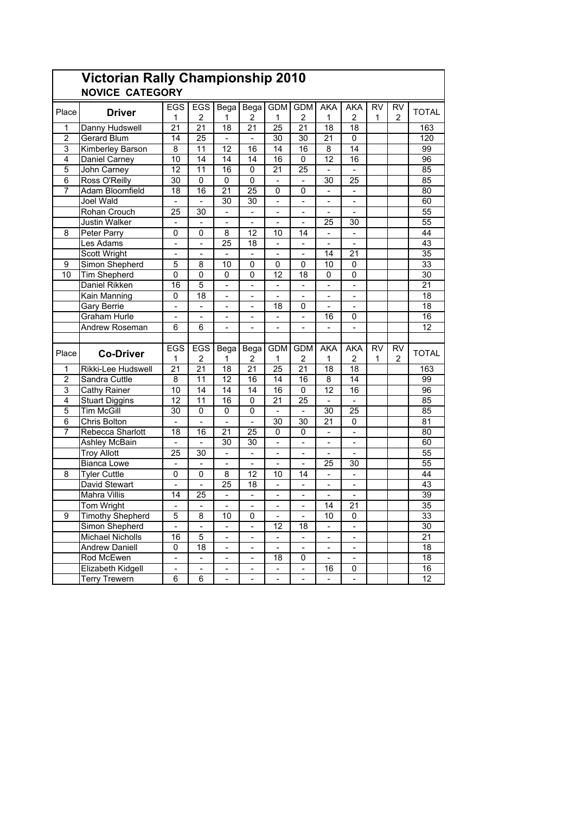|                         | <b>Victorian Rally Championship 2010</b> |                          |                              |                              |                          |                              |                          |                              |                              |           |                 |                 |
|-------------------------|------------------------------------------|--------------------------|------------------------------|------------------------------|--------------------------|------------------------------|--------------------------|------------------------------|------------------------------|-----------|-----------------|-----------------|
|                         | <b>NOVICE CATEGORY</b>                   |                          |                              |                              |                          |                              |                          |                              |                              |           |                 |                 |
|                         |                                          | <b>EGS</b>               | EGS                          | Bega                         | Bega                     | <b>GDM</b>                   | <b>GDM</b>               | <b>AKA</b>                   | <b>AKA</b>                   | <b>RV</b> | $\overline{RV}$ |                 |
| Place                   | <b>Driver</b>                            | 1                        | $\overline{2}$               | 1                            | 2                        | 1                            | $\overline{2}$           | 1                            | $\overline{2}$               | 1         | $\overline{2}$  | <b>TOTAL</b>    |
| 1                       | Danny Hudswell                           | $\overline{21}$          | $\overline{21}$              | 18                           | $\overline{21}$          | $\overline{25}$              | 21                       | $\overline{18}$              | 18                           |           |                 | 163             |
| $\overline{2}$          | Gerard Blum                              | 14                       | 25                           | $\blacksquare$               | $\blacksquare$           | 30                           | 30                       | 21                           | 0                            |           |                 | 120             |
| 3                       | Kimberley Barson                         | 8                        | 11                           | 12                           | 16                       | 14                           | 16                       | 8                            | 14                           |           |                 | 99              |
| 4                       | Daniel Carney                            | 10                       | 14                           | 14                           | 14                       | 16                           | 0                        | 12                           | 16                           |           |                 | 96              |
| 5                       | John Carney                              | 12                       | 11                           | 16                           | 0                        | 21                           | $\overline{25}$          | $\overline{\phantom{a}}$     |                              |           |                 | 85              |
| 6                       | Ross O'Reilly                            | 30                       | $\mathbf 0$                  | 0                            | $\mathbf 0$              | ÷,                           |                          | 30                           | 25                           |           |                 | 85              |
| $\overline{7}$          | Adam Bloomfield                          | 18                       | 16                           | 21                           | 25                       | $\mathbf 0$                  | $\mathbf 0$              | $\overline{a}$               | $\overline{\phantom{a}}$     |           |                 | 80              |
|                         | Joel Wald                                | $\blacksquare$           | $\qquad \qquad \blacksquare$ | 30                           | 30                       | $\qquad \qquad \blacksquare$ | $\frac{1}{2}$            | $\overline{\phantom{0}}$     | $\blacksquare$               |           |                 | 60              |
|                         | Rohan Crouch                             | 25                       | 30                           | $\blacksquare$               | ÷                        | ÷,                           |                          |                              | $\overline{a}$               |           |                 | 55              |
|                         | Justin Walker                            | $\blacksquare$           |                              |                              |                          |                              |                          | 25                           | 30                           |           |                 | 55              |
| 8                       | Peter Parry                              | 0                        | 0                            | 8                            | 12                       | 10                           | 14                       | $\overline{a}$               | $\overline{a}$               |           |                 | 44              |
|                         | Les Adams                                | $\blacksquare$           | $\frac{1}{2}$                | 25                           | 18                       | $\blacksquare$               | $\blacksquare$           | $\frac{1}{2}$                | $\Box$                       |           |                 | 43              |
|                         | <b>Scott Wright</b>                      | $\blacksquare$           |                              |                              | $\overline{\phantom{0}}$ | $\blacksquare$               |                          | 14                           | 21                           |           |                 | 35              |
| 9                       | Simon Shepherd                           | 5                        | 8                            | 10                           | 0                        | 0                            | 0                        | 10                           | 0                            |           |                 | 33              |
| 10                      | <b>Tim Shepherd</b>                      | $\overline{0}$           | $\mathbf{0}$                 | 0                            | 0                        | $\overline{12}$              | 18                       | $\mathbf{0}$                 | 0                            |           |                 | 30              |
|                         | Daniel Rikken                            | 16                       | $\overline{5}$               | $\frac{1}{2}$                | $\blacksquare$           | $\frac{1}{2}$                |                          |                              |                              |           |                 | $\overline{21}$ |
|                         | Kain Manning                             | 0                        | 18                           | $\blacksquare$               | $\overline{a}$           | ÷.                           | $\overline{a}$           | $\overline{a}$               | $\Box$                       |           |                 | 18              |
|                         | Gary Berrie                              | $\blacksquare$           | $\frac{1}{2}$                | $\blacksquare$               | $\overline{\phantom{0}}$ | 18                           | 0                        | ÷,                           | $\blacksquare$               |           |                 | $\overline{18}$ |
|                         | Graham Hurle                             | $\overline{a}$           |                              | $\overline{a}$               | $\overline{a}$           | $\frac{1}{2}$                | ä,                       | 16                           | 0                            |           |                 | 16              |
|                         | Andrew Roseman                           | 6                        | 6                            | $\blacksquare$               | -                        | ÷,                           | ä,                       | $\overline{\phantom{a}}$     | $\overline{a}$               |           |                 | 12              |
|                         |                                          |                          |                              |                              |                          |                              |                          |                              |                              |           |                 |                 |
| Place                   | <b>Co-Driver</b>                         | EGS                      | EGS                          | Bega                         | Bega                     | <b>GDM</b>                   | <b>GDM</b>               | <b>AKA</b>                   | <b>AKA</b>                   | <b>RV</b> | <b>RV</b>       | <b>TOTAL</b>    |
|                         |                                          | 1                        | 2                            | 1                            | 2                        | 1                            | 2                        | 1                            | $\overline{2}$               | 1         | 2               |                 |
| 1                       | Rikki-Lee Hudswell                       | 21                       | 21                           | 18                           | 21                       | 25                           | $\overline{21}$          | 18                           | 18                           |           |                 | 163             |
| $\overline{\mathbf{c}}$ | Sandra Cuttle                            | 8                        | 11                           | 12                           | 16                       | 14                           | 16                       | 8                            | 14                           |           |                 | 99              |
| 3                       | Cathy Rainer                             | 10                       | 14                           | 14                           | 14                       | 16                           | 0                        | $\overline{12}$              | 16                           |           |                 | $\overline{96}$ |
| 4                       | <b>Stuart Diggins</b>                    | 12                       | 11                           | 16                           | $\mathbf 0$              | 21                           | 25                       |                              |                              |           |                 | 85              |
| $\overline{5}$          | <b>Tim McGill</b>                        | 30                       | $\Omega$                     | 0                            | $\mathbf{0}$             | $\overline{a}$               | $\equiv$                 | $\overline{30}$              | $\overline{25}$              |           |                 | 85              |
| 6                       | Chris Bolton                             | $\blacksquare$           | $\overline{\phantom{0}}$     | $\blacksquare$               | $\blacksquare$           | 30                           | 30                       | 21                           | 0                            |           |                 | 81              |
| $\overline{7}$          | Rebecca Sharlott                         | 18                       | 16                           | 21                           | 25                       | $\mathbf 0$                  | 0                        | $\overline{\phantom{a}}$     | ÷,                           |           |                 | 80              |
|                         | Ashley McBain                            | $\blacksquare$           | ÷                            | 30                           | 30                       | ä,                           |                          |                              |                              |           |                 | 60              |
|                         | <b>Troy Allott</b>                       | 25                       | 30                           | $\blacksquare$               |                          | $\blacksquare$               |                          | ÷,                           |                              |           |                 | 55              |
|                         | <b>Bianca Lowe</b>                       | $\mathbf{r}$             | $\Box$                       | $\mathbf{r}$                 | $\overline{a}$           | $\blacksquare$               | $\overline{a}$           | 25                           | 30                           |           |                 | 55              |
| 8                       | <b>Tyler Cuttle</b>                      | 0                        | 0                            | 8                            | 12                       | 10                           | 14                       | $\blacksquare$               | $\blacksquare$               |           |                 | 44              |
|                         | David Stewart                            | $\overline{a}$           |                              | 25                           | 18                       | $\qquad \qquad \blacksquare$ |                          | $\frac{1}{2}$                | $\blacksquare$               |           |                 | 43              |
|                         | <b>Mahra Villis</b>                      | 14                       | $\overline{25}$              | $\blacksquare$               | $\overline{\phantom{0}}$ | $\frac{1}{2}$                | $\overline{\phantom{a}}$ |                              |                              |           |                 | 39              |
|                         | <b>Tom Wright</b>                        |                          |                              |                              |                          |                              |                          | $\overline{14}$              | $\overline{21}$              |           |                 | $\overline{35}$ |
| 9                       | <b>Timothy Shepherd</b>                  | 5                        | 8                            | 10                           | 0                        | $\overline{\phantom{0}}$     |                          | 10                           | 0                            |           |                 | 33              |
|                         | Simon Shepherd                           | $\overline{a}$           |                              | $\blacksquare$               | $\overline{a}$           | 12                           | 18                       | $\overline{\phantom{0}}$     | $\blacksquare$               |           |                 | 30              |
|                         | <b>Michael Nicholls</b>                  | 16                       | $\overline{5}$               | $\qquad \qquad \blacksquare$ | $\frac{1}{2}$            | $\blacksquare$               | $\blacksquare$           | ÷                            | $\qquad \qquad \blacksquare$ |           |                 | $\overline{21}$ |
|                         | <b>Andrew Daniell</b>                    | 0                        | $\overline{18}$              | $\qquad \qquad \blacksquare$ | -                        | $\overline{\phantom{0}}$     |                          | $\qquad \qquad \blacksquare$ | $\blacksquare$               |           |                 | $\overline{18}$ |
|                         | Rod McEwen                               |                          |                              |                              |                          | 18                           | 0                        |                              |                              |           |                 | 18              |
|                         | Elizabeth Kidgell                        | $\overline{\phantom{a}}$ |                              | $\blacksquare$               | $\overline{\phantom{0}}$ |                              |                          | 16                           | 0                            |           |                 | 16              |
|                         | <b>Terry Trewern</b>                     | $\overline{6}$           | $6\overline{6}$              | $\frac{1}{2}$                | $\overline{a}$           | $\blacksquare$               | $\blacksquare$           | $\blacksquare$               | $\blacksquare$               |           |                 | 12              |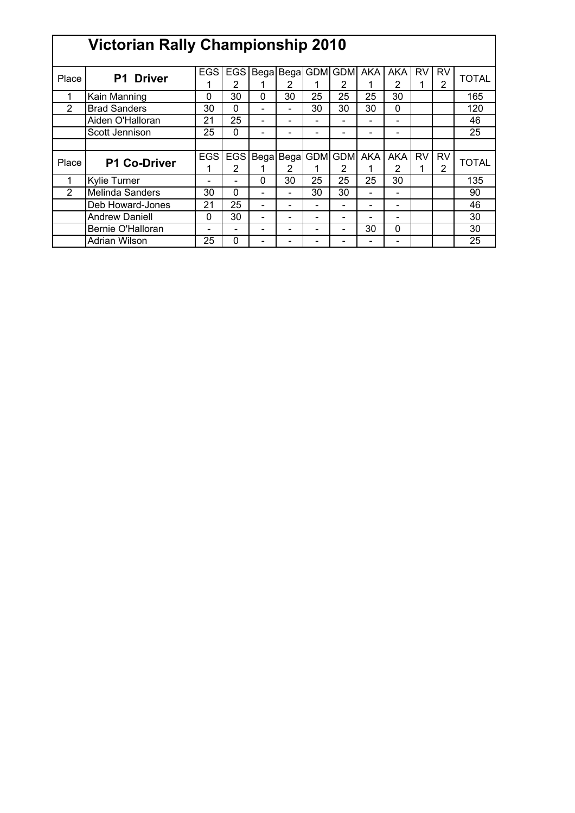|                | <b>Victorian Rally Championship 2010</b> |            |            |          |                              |    |                       |                          |                          |           |                |              |
|----------------|------------------------------------------|------------|------------|----------|------------------------------|----|-----------------------|--------------------------|--------------------------|-----------|----------------|--------------|
|                |                                          |            |            |          |                              |    |                       |                          |                          |           |                |              |
| Place          | P1 Driver                                | <b>EGS</b> | <b>EGS</b> |          |                              |    | Bega Bega GDM GDM AKA |                          | <b>AKA</b>               | <b>RV</b> | <b>RV</b>      | <b>TOTAL</b> |
|                |                                          |            | 2          | 1        | 2                            |    | 2                     |                          | 2                        |           | $\overline{2}$ |              |
|                | Kain Manning                             | 0          | 30         | $\Omega$ | 30                           | 25 | 25                    | 25                       | 30                       |           |                | 165          |
| 2              | <b>Brad Sanders</b>                      | 30         | 0          | ۰        |                              | 30 | 30                    | 30                       | $\mathbf 0$              |           |                | 120          |
|                | Aiden O'Halloran                         | 21         | 25         | ۰        |                              |    |                       |                          | $\overline{\phantom{0}}$ |           |                | 46           |
|                | Scott Jennison                           | 25         | 0          |          |                              |    |                       |                          |                          |           |                | 25           |
|                |                                          |            |            |          |                              |    |                       |                          |                          |           |                |              |
| Place          | <b>P1 Co-Driver</b>                      | <b>EGS</b> | <b>EGS</b> |          |                              |    | Bega Bega GDM GDM AKA |                          | AKA                      | <b>RV</b> | <b>RV</b>      | <b>TOTAL</b> |
|                |                                          |            | 2          |          | 2                            |    | 2                     |                          | 2                        |           | 2              |              |
|                | <b>Kylie Turner</b>                      | -          | -          | $\Omega$ | 30                           | 25 | 25                    | 25                       | 30                       |           |                | 135          |
| $\overline{2}$ | Melinda Sanders                          | 30         | 0          | ۰        | $\blacksquare$               | 30 | 30                    | $\overline{\phantom{0}}$ | $\overline{\phantom{0}}$ |           |                | 90           |
|                | Deb Howard-Jones                         | 21         | 25         | ۰        | $\qquad \qquad \blacksquare$ |    |                       |                          | $\overline{\phantom{0}}$ |           |                | 46           |
|                | <b>Andrew Daniell</b>                    | 0          | 30         | ۰        | $\qquad \qquad$              |    |                       |                          | $\overline{\phantom{0}}$ |           |                | 30           |
|                | Bernie O'Halloran                        | -          | -          | -        |                              |    |                       | 30                       | 0                        |           |                | 30           |
|                | Adrian Wilson                            | 25         | 0          |          |                              |    |                       |                          |                          |           |                | 25           |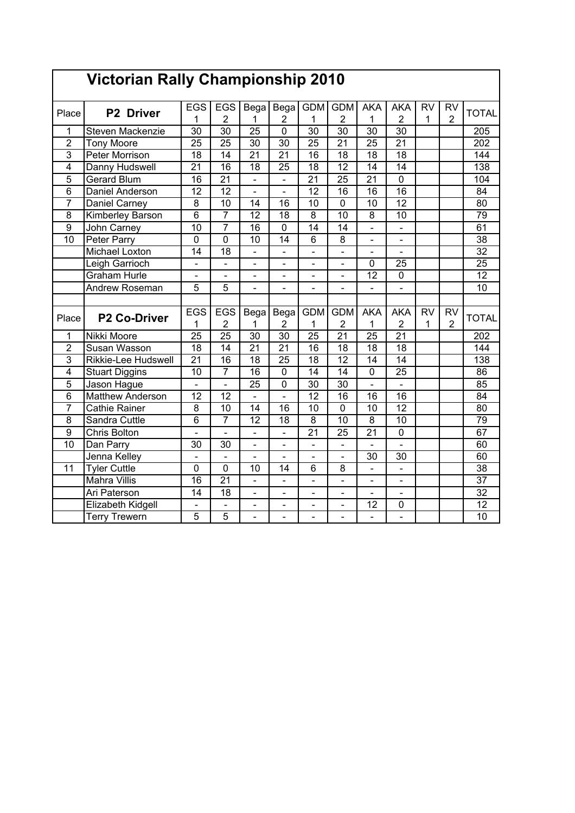|                 | <b>Victorian Rally Championship 2010</b> |                              |                                  |                          |                              |                              |                              |                 |                              |                           |                             |                  |
|-----------------|------------------------------------------|------------------------------|----------------------------------|--------------------------|------------------------------|------------------------------|------------------------------|-----------------|------------------------------|---------------------------|-----------------------------|------------------|
| Place           | P2 Driver                                | <b>EGS</b><br>1              | <b>EGS</b><br>$\overline{2}$     | Bega<br>1                | Bega<br>$\overline{2}$       | <b>GDM</b><br>$\mathbf{1}$   | <b>GDM</b><br>$\overline{2}$ | AKA<br>1        | <b>AKA</b><br>$\overline{2}$ | <b>RV</b><br>$\mathbf{1}$ | <b>RV</b><br>$\overline{2}$ | <b>TOTAL</b>     |
| $\mathbf{1}$    | Steven Mackenzie                         | $\overline{30}$              | $\overline{30}$                  | $\overline{25}$          | $\overline{0}$               | $\overline{30}$              | $\overline{30}$              | $\overline{30}$ | $\overline{30}$              |                           |                             | 205              |
| $\overline{2}$  | <b>Tony Moore</b>                        | $\overline{25}$              | $\overline{25}$                  | $\overline{30}$          | $\overline{30}$              | $\overline{25}$              | $\overline{21}$              | $\overline{25}$ | $\overline{21}$              |                           |                             | $\overline{202}$ |
| 3               | Peter Morrison                           | 18                           | $\overline{14}$                  | $\overline{21}$          | $\overline{21}$              | 16                           | 18                           | $\overline{18}$ | 18                           |                           |                             | 144              |
| $\overline{4}$  | Danny Hudswell                           | $\overline{21}$              | $\overline{16}$                  | 18                       | $\overline{25}$              | $\overline{18}$              | $\overline{12}$              | $\overline{14}$ | $\overline{14}$              |                           |                             | 138              |
| 5               | <b>Gerard Blum</b>                       | 16                           | $\overline{21}$                  | $\overline{\phantom{a}}$ | $\blacksquare$               | $\overline{21}$              | $\overline{25}$              | $\overline{21}$ | $\overline{0}$               |                           |                             | 104              |
| 6               | Daniel Anderson                          | 12                           | $\overline{12}$                  | $\overline{\phantom{0}}$ | ÷,                           | 12                           | 16                           | 16              | 16                           |                           |                             | 84               |
| $\overline{7}$  | Daniel Carney                            | $\overline{8}$               | 10                               | $\overline{14}$          | $\overline{16}$              | $\overline{10}$              | $\overline{0}$               | $\overline{10}$ | $\overline{12}$              |                           |                             | $\overline{80}$  |
| $\overline{8}$  | Kimberley Barson                         | $\overline{6}$               | $\overline{7}$                   | $\overline{12}$          | $\overline{18}$              | $\overline{8}$               | $\overline{10}$              | $\overline{8}$  | $\overline{10}$              |                           |                             | 79               |
| 9               | John Carney                              | $\overline{10}$              | $\overline{7}$                   | 16                       | $\mathbf 0$                  | 14                           | 14                           | $\overline{a}$  | $\overline{a}$               |                           |                             | 61               |
| 10              | Peter Parry                              | $\mathbf 0$                  | 0                                | 10                       | $\overline{14}$              | 6                            | 8                            | $\blacksquare$  | $\blacksquare$               |                           |                             | 38               |
|                 | Michael Loxton                           | 14                           | 18                               | $\overline{\phantom{a}}$ | $\blacksquare$               | ÷,                           | $\overline{\phantom{0}}$     | $\blacksquare$  | $\overline{a}$               |                           |                             | 32               |
|                 | Leigh Garrioch                           | $\overline{\phantom{0}}$     | $\frac{1}{2}$                    | $\blacksquare$           | $\blacksquare$               | L,                           | $\overline{\phantom{0}}$     | 0               | 25                           |                           |                             | $\overline{25}$  |
|                 | <b>Graham Hurle</b>                      | $\qquad \qquad \blacksquare$ | $\blacksquare$                   | $\overline{\phantom{0}}$ | $\qquad \qquad \blacksquare$ | ÷,                           | $\overline{\phantom{0}}$     | 12              | $\mathbf 0$                  |                           |                             | 12               |
|                 | Andrew Roseman                           | 5                            | $\overline{5}$                   | $\overline{\phantom{0}}$ | $\overline{\phantom{a}}$     | $\qquad \qquad \blacksquare$ | $\overline{\phantom{0}}$     |                 | $\blacksquare$               |                           |                             | 10               |
|                 |                                          |                              |                                  |                          |                              |                              |                              |                 |                              |                           |                             |                  |
| Place           | <b>P2 Co-Driver</b>                      | <b>EGS</b>                   | <b>EGS</b>                       | Bega                     | Bega                         | <b>GDM</b>                   | <b>GDM</b>                   | <b>AKA</b>      | <b>AKA</b>                   | <b>RV</b>                 | <b>RV</b>                   | <b>TOTAL</b>     |
|                 |                                          | 1                            | $\overline{2}$                   | 1                        | $\overline{2}$               | 1                            | $\overline{2}$               | 1               | 2                            | 1                         | $\overline{2}$              |                  |
| 1               | Nikki Moore                              | 25                           | 25                               | 30                       | 30                           | 25                           | 21                           | 25              | 21                           |                           |                             | 202              |
| $\overline{2}$  | Susan Wasson                             | 18                           | 14                               | $\overline{21}$          | $\overline{21}$              | 16                           | 18                           | 18              | 18                           |                           |                             | 144              |
| $\overline{3}$  | Rikkie-Lee Hudswell                      | 21                           | 16                               | 18                       | 25                           | 18                           | 12                           | 14              | 14                           |                           |                             | 138              |
| $\overline{4}$  | <b>Stuart Diggins</b>                    | 10                           | $\overline{7}$                   | $\overline{16}$          | $\overline{0}$               | 14                           | $\overline{14}$              | $\overline{0}$  | $\overline{25}$              |                           |                             | $\overline{86}$  |
| $\overline{5}$  | Jason Hague                              | $\overline{a}$               | $\overline{a}$                   |                          |                              |                              |                              |                 |                              |                           |                             | 85               |
| $\overline{6}$  |                                          |                              |                                  | $\overline{25}$          | $\overline{0}$               | $\overline{30}$              | $\overline{30}$              | $\overline{a}$  | L.                           |                           |                             |                  |
|                 | <b>Matthew Anderson</b>                  | 12                           | 12                               |                          | L.                           | $\overline{12}$              | 16                           | 16              | 16                           |                           |                             | $\overline{84}$  |
| $\overline{7}$  | <b>Cathie Rainer</b>                     | 8                            | 10                               | 14                       | 16                           | 10                           | 0                            | 10              | 12                           |                           |                             | 80               |
| 8               | Sandra Cuttle                            | 6                            | $\overline{7}$                   | 12                       | 18                           | 8                            | 10                           | 8               | 10                           |                           |                             | 79               |
| $\overline{9}$  | Chris Bolton                             | L,                           | $\blacksquare$                   | $\overline{\phantom{0}}$ | ÷,                           | $\overline{21}$              | $\overline{25}$              | $\overline{21}$ | $\mathbf 0$                  |                           |                             | 67               |
| $\overline{10}$ | Dan Parry                                | $\overline{30}$              | 30                               |                          | $\overline{a}$               |                              | $\overline{\phantom{0}}$     |                 |                              |                           |                             | 60               |
|                 | Jenna Kelley                             | $\overline{a}$               | $\overline{a}$                   |                          | L.                           |                              | $\overline{a}$               | $\overline{30}$ | $\overline{30}$              |                           |                             | 60               |
| 11              | <b>Tyler Cuttle</b>                      | $\mathbf 0$                  | $\overline{0}$                   | 10                       | 14                           | 6                            | 8                            | $\overline{a}$  | $\overline{a}$               |                           |                             | $\overline{38}$  |
|                 | <b>Mahra Villis</b>                      | $\overline{16}$              | $\overline{21}$                  |                          | $\ddot{\phantom{1}}$         | $\overline{a}$               | L                            | $\blacksquare$  | $\overline{\phantom{0}}$     |                           |                             | $\overline{37}$  |
|                 | Ari Paterson                             | 14                           | 18                               | $\overline{a}$           | L,                           | ÷,                           | $\overline{a}$               |                 | $\overline{a}$               |                           |                             | 32               |
|                 | Elizabeth Kidgell                        | 5                            | $\blacksquare$<br>$\overline{5}$ |                          | $\ddot{\phantom{1}}$         |                              | $\overline{a}$               | $\overline{12}$ | $\mathbf 0$                  |                           |                             | $\overline{12}$  |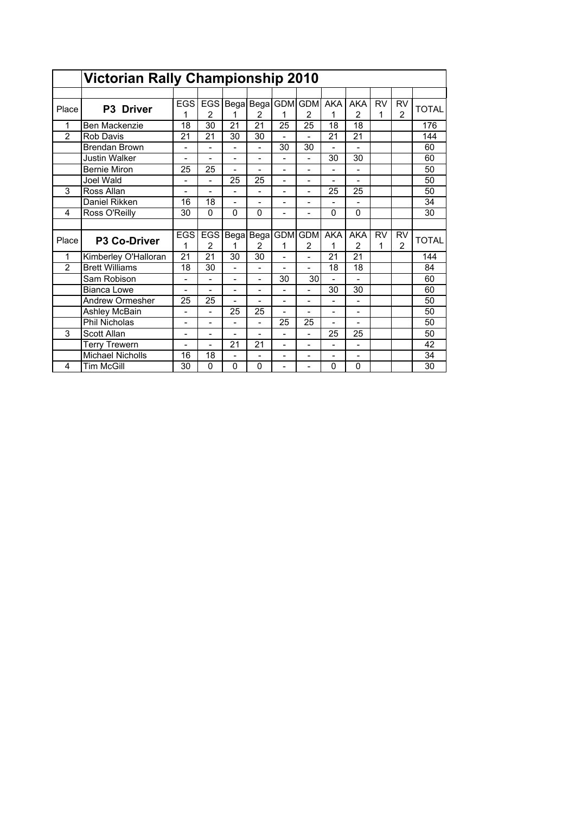|                | <b>Victorian Rally Championship 2010</b> |                          |                          |                              |                |                          |                |                          |                          |           |                |              |
|----------------|------------------------------------------|--------------------------|--------------------------|------------------------------|----------------|--------------------------|----------------|--------------------------|--------------------------|-----------|----------------|--------------|
|                |                                          |                          |                          |                              |                |                          |                |                          |                          |           |                |              |
| Place          | P3 Driver                                | <b>EGS</b>               | <b>EGS</b>               |                              | Bega Bega GDM  |                          | <b>GDM</b>     | <b>AKA</b>               | <b>AKA</b>               | <b>RV</b> | <b>RV</b>      | <b>TOTAL</b> |
|                |                                          | 1                        | 2                        | 1                            | 2              | 1                        | $\overline{2}$ | 1                        | $\overline{2}$           | 1         | $\overline{2}$ |              |
| 1              | Ben Mackenzie                            | 18                       | 30                       | 21                           | 21             | 25                       | 25             | 18                       | 18                       |           |                | 176          |
| $\overline{2}$ | <b>Rob Davis</b>                         | 21                       | 21                       | 30                           | 30             |                          |                | 21                       | $\overline{21}$          |           |                | 144          |
|                | <b>Brendan Brown</b>                     | $\overline{\phantom{0}}$ | $\overline{\phantom{0}}$ | $\overline{a}$               | $\overline{a}$ | 30                       | 30             | $\overline{a}$           | $\overline{\phantom{0}}$ |           |                | 60           |
|                | <b>Justin Walker</b>                     | $\overline{a}$           | $\overline{\phantom{0}}$ | $\qquad \qquad \blacksquare$ | $\overline{a}$ | ۰                        | $\overline{a}$ | 30                       | 30                       |           |                | 60           |
|                | <b>Bernie Miron</b>                      | 25                       | 25                       |                              |                |                          |                |                          |                          |           |                | 50           |
|                | Joel Wald                                | $\overline{a}$           | $\overline{\phantom{0}}$ | 25                           | 25             | $\overline{\phantom{0}}$ | ۰              |                          |                          |           |                | 50           |
| 3              | Ross Allan                               | $\overline{\phantom{0}}$ | $\overline{\phantom{0}}$ | -                            | -              | $\overline{\phantom{0}}$ | -              | 25                       | 25                       |           |                | 50           |
|                | Daniel Rikken                            | 16                       | 18                       | ۰                            |                |                          |                |                          |                          |           |                | 34           |
| 4              | Ross O'Reilly                            | 30                       | $\Omega$                 | 0                            | $\Omega$       | -                        |                | $\Omega$                 | 0                        |           |                | 30           |
|                |                                          |                          |                          |                              |                |                          |                |                          |                          |           |                |              |
| Place          |                                          | <b>EGS</b>               | <b>EGS</b>               |                              | Bega Bega      |                          | <b>GDM</b> GDM | <b>AKA</b>               | <b>AKA</b>               | <b>RV</b> | <b>RV</b>      | <b>TOTAL</b> |
|                | P3 Co-Driver                             | 1                        | 2                        | 1                            | $\overline{2}$ | 1                        | $\overline{2}$ | 1                        | $\overline{2}$           | 1         | 2              |              |
| 1              | Kimberley O'Halloran                     | 21                       | 21                       | 30                           | 30             | $\overline{\phantom{0}}$ | -              | 21                       | 21                       |           |                | 144          |
| $\overline{2}$ | <b>Brett Williams</b>                    | 18                       | 30                       |                              | $\overline{a}$ |                          | $\overline{a}$ | 18                       | 18                       |           |                | 84           |
|                | Sam Robison                              | $\overline{a}$           |                          | L,                           | $\overline{a}$ | 30                       | 30             |                          |                          |           |                | 60           |
|                | Bianca Lowe                              | $\overline{a}$           | $\overline{\phantom{0}}$ | $\overline{\phantom{a}}$     | -              | $\overline{\phantom{0}}$ | -              | 30                       | 30                       |           |                | 60           |
|                | Andrew Ormesher                          | 25                       | 25                       |                              |                |                          | ۰              |                          |                          |           |                | 50           |
|                | Ashley McBain                            | $\overline{a}$           | $\overline{\phantom{0}}$ | 25                           | 25             | $\overline{\phantom{0}}$ |                | $\overline{a}$           | $\overline{\phantom{0}}$ |           |                | 50           |
|                | <b>Phil Nicholas</b>                     | $\overline{\phantom{0}}$ | $\overline{a}$           | $\overline{a}$               | $\overline{a}$ | 25                       | 25             | $\overline{a}$           | $\overline{a}$           |           |                | 50           |
| 3              | Scott Allan                              |                          |                          |                              |                |                          |                | 25                       | 25                       |           |                | 50           |
|                | <b>Terry Trewern</b>                     | $\overline{a}$           | $\overline{a}$           | 21                           | 21             | $\overline{\phantom{0}}$ | $\overline{a}$ | $\overline{a}$           | $\overline{\phantom{0}}$ |           |                | 42           |
|                | <b>Michael Nicholls</b>                  | 16                       | 18                       | $\overline{a}$               | -              | $\overline{\phantom{0}}$ | -              | $\overline{\phantom{0}}$ | $\overline{\phantom{0}}$ |           |                | 34           |
| 4              | <b>Tim McGill</b>                        | 30                       | 0                        | 0                            | 0              |                          |                | $\mathbf 0$              | 0                        |           |                | 30           |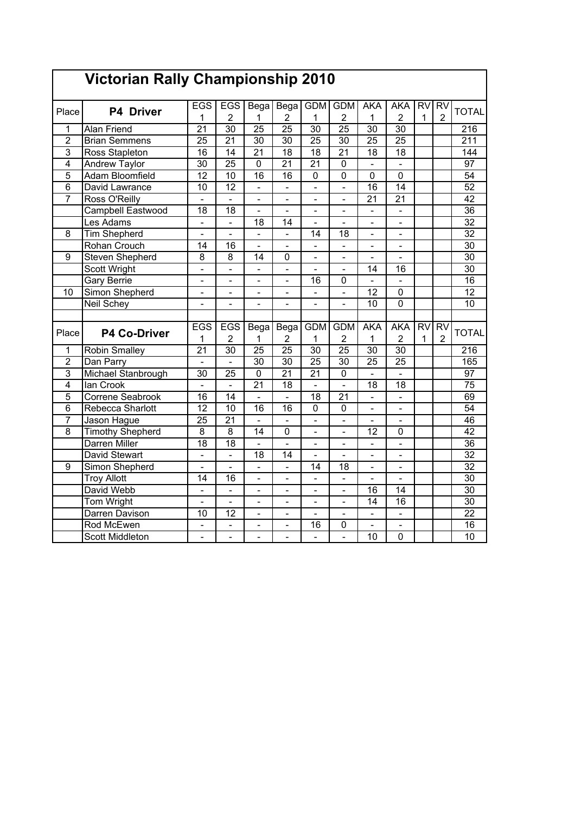|                 | Victorian Rally Championship 2010 |                          |                              |                          |                              |                          |                              |                          |                              |                |                                |                 |
|-----------------|-----------------------------------|--------------------------|------------------------------|--------------------------|------------------------------|--------------------------|------------------------------|--------------------------|------------------------------|----------------|--------------------------------|-----------------|
| Place           | <b>P4 Driver</b>                  | <b>EGS</b><br>1          | <b>EGS</b><br>$\overline{2}$ | Bega<br>1                | Bega<br>2                    | <b>GDM</b><br>1          | <b>GDM</b><br>2              | <b>AKA</b><br>1          | <b>AKA</b><br>$\overline{2}$ | 1              | <b>RV</b> RV<br>$\overline{2}$ | <b>TOTAL</b>    |
| 1               | <b>Alan Friend</b>                | $\overline{21}$          | $\overline{30}$              | $\overline{25}$          | $\overline{25}$              | $\overline{30}$          | $\overline{25}$              | $\overline{30}$          | 30                           |                |                                | 216             |
| $\overline{2}$  | <b>Brian Semmens</b>              | $\overline{25}$          | $\overline{21}$              | 30                       | 30                           | $\overline{25}$          | $\overline{30}$              | $\overline{25}$          | $\overline{25}$              |                |                                | 211             |
| $\overline{3}$  | Ross Stapleton                    | 16                       | 14                           | $\overline{21}$          | $\overline{18}$              | $\overline{18}$          | $\overline{21}$              | $\overline{18}$          | $\overline{18}$              |                |                                | 144             |
| 4               | <b>Andrew Taylor</b>              | 30                       | $\overline{25}$              | $\overline{0}$           | $\overline{21}$              | $\overline{21}$          | 0                            | $\overline{\phantom{0}}$ | $\overline{\phantom{a}}$     |                |                                | $\overline{97}$ |
| $\overline{5}$  | <b>Adam Bloomfield</b>            | $\overline{12}$          | 10                           | $\overline{16}$          | $\overline{16}$              | 0                        | 0                            | 0                        | 0                            |                |                                | $\overline{54}$ |
| 6               | David Lawrance                    | 10                       | $\overline{12}$              | $\overline{a}$           |                              | $\overline{a}$           |                              | 16                       | 14                           |                |                                | 52              |
| $\overline{7}$  | Ross O'Reilly                     |                          |                              |                          |                              |                          |                              | $\overline{21}$          | $\overline{21}$              |                |                                | $\overline{42}$ |
|                 | <b>Campbell Eastwood</b>          | $\overline{18}$          | $\overline{18}$              |                          | L,                           | $\overline{a}$           |                              | $\overline{a}$           |                              |                |                                | $\overline{36}$ |
|                 | Les Adams                         | $\overline{a}$           | $\overline{a}$               | 18                       | 14                           | $\overline{a}$           | $\overline{a}$               | $\overline{a}$           | $\overline{a}$               |                |                                | $\overline{32}$ |
| 8               | <b>Tim Shepherd</b>               | $\overline{\phantom{0}}$ | $\overline{\phantom{a}}$     | $\overline{a}$           | L,                           | 14                       | 18                           | $\overline{\phantom{0}}$ | $\overline{\phantom{a}}$     |                |                                | 32              |
|                 | Rohan Crouch                      | $\overline{14}$          | $\overline{16}$              |                          |                              | $\overline{a}$           |                              | -                        |                              |                |                                | $\overline{30}$ |
| 9               | <b>Steven Shepherd</b>            | $\overline{8}$           | $\overline{8}$               | 14                       | $\mathbf 0$                  | $\overline{a}$           |                              | L,                       |                              |                |                                | 30              |
|                 | <b>Scott Wright</b>               | $\overline{a}$           | $\overline{a}$               |                          | $\overline{a}$               |                          |                              | 14                       | 16                           |                |                                | $\overline{30}$ |
|                 | <b>Gary Berrie</b>                |                          |                              |                          |                              | $\overline{16}$          | 0                            |                          |                              |                |                                | 16              |
| $\overline{10}$ | Simon Shepherd                    | $\overline{\phantom{0}}$ | $\overline{\phantom{a}}$     | $\overline{a}$           | $\overline{\phantom{a}}$     | $\overline{a}$           | $\overline{a}$               | $\overline{12}$          | $\overline{0}$               |                |                                | 12              |
|                 | <b>Neil Schey</b>                 | $\overline{\phantom{0}}$ | $\overline{\phantom{a}}$     | $\overline{\phantom{0}}$ | $\overline{\phantom{a}}$     | $\overline{\phantom{0}}$ | $\overline{\phantom{0}}$     | $\overline{10}$          | $\overline{0}$               |                |                                | 10              |
|                 |                                   |                          |                              |                          |                              |                          |                              |                          |                              |                |                                |                 |
| Place           | <b>P4 Co-Driver</b>               | <b>EGS</b><br>1          | EGS<br>$\overline{2}$        | Bega<br>1                | Bega<br>$\overline{2}$       | <b>GDM</b><br>1          | <b>GDM</b><br>$\overline{2}$ | <b>AKA</b><br>1          | <b>AKA</b><br>$\overline{2}$ | <b>RV</b><br>1 | <b>RV</b><br>$\overline{2}$    | <b>TOTAL</b>    |
| 1               | <b>Robin Smalley</b>              | $\overline{21}$          | $\overline{30}$              | $\overline{25}$          | $\overline{25}$              | $\overline{30}$          | $\overline{25}$              | $\overline{30}$          | $\overline{30}$              |                |                                | 216             |
| $\overline{2}$  | Dan Parry                         | $\overline{\phantom{a}}$ | $\frac{1}{2}$                | $\overline{30}$          | $\overline{30}$              | $\overline{25}$          | $\overline{30}$              | $\overline{25}$          | $\overline{25}$              |                |                                | 165             |
| $\overline{3}$  | Michael Stanbrough                | $\overline{30}$          | $\overline{25}$              | $\overline{0}$           | $\overline{21}$              | $\overline{21}$          | $\overline{0}$               | $\overline{\phantom{0}}$ | $\overline{\phantom{a}}$     |                |                                | $\overline{97}$ |
| $\overline{4}$  | lan Crook                         |                          |                              | $\overline{21}$          | $\overline{18}$              |                          |                              | $\overline{18}$          | $\overline{18}$              |                |                                | $\overline{75}$ |
| 5               | Correne Seabrook                  | 16                       | $\overline{14}$              | L,                       |                              | 18                       | $\overline{21}$              | $\overline{\phantom{0}}$ | $\overline{\phantom{a}}$     |                |                                | 69              |
| $\overline{6}$  | Rebecca Sharlott                  | $\overline{12}$          | $\overline{10}$              | $\overline{16}$          | $\overline{16}$              | $\overline{0}$           | 0                            | $\overline{a}$           | $\overline{\phantom{a}}$     |                |                                | $\overline{54}$ |
| $\overline{7}$  | Jason Hague                       | $\overline{25}$          | $\overline{21}$              |                          |                              | $\overline{a}$           | $\overline{a}$               | $\overline{a}$           |                              |                |                                | 46              |
| $\overline{8}$  | <b>Timothy Shepherd</b>           | $\overline{8}$           | $\overline{8}$               | $\overline{14}$          | $\overline{0}$               | $\overline{a}$           | L.                           | $\overline{12}$          | $\overline{0}$               |                |                                | 42              |
|                 | <b>Darren Miller</b>              | $\overline{18}$          | $\overline{18}$              | $\frac{1}{2}$            | $\frac{1}{2}$                | $\overline{\phantom{0}}$ | $\overline{\phantom{0}}$     | $\overline{\phantom{0}}$ | $\blacksquare$               |                |                                | $\overline{36}$ |
|                 | <b>David Stewart</b>              |                          |                              | 18                       | 14                           |                          |                              | $\overline{a}$           |                              |                |                                | $\overline{32}$ |
| 9               | Simon Shepherd                    |                          | $\overline{a}$               | $\overline{a}$           | $\overline{\phantom{a}}$     | 14                       | 18                           | $\overline{\phantom{0}}$ |                              |                |                                | 32              |
|                 | <b>Troy Allott</b>                | 14                       | $\overline{16}$              |                          | $\overline{a}$               |                          | $\overline{a}$               |                          |                              |                |                                | $\overline{30}$ |
|                 | David Webb                        |                          |                              | $\overline{a}$           |                              |                          |                              | $\overline{16}$          | 14                           |                |                                | 30              |
|                 | <b>Tom Wright</b>                 | $\overline{\phantom{0}}$ | $\blacksquare$               | $\overline{a}$           | $\blacksquare$               | $\overline{a}$           | $\overline{\phantom{a}}$     | $\overline{14}$          | $\overline{16}$              |                |                                | 30              |
|                 | Darren Davison                    | 10                       | $\overline{12}$              | $\overline{\phantom{0}}$ | $\qquad \qquad \blacksquare$ | $\overline{\phantom{0}}$ | $\overline{\phantom{0}}$     | $\blacksquare$           | $\qquad \qquad \blacksquare$ |                |                                | $\overline{22}$ |
|                 | Rod McEwen                        | $\overline{\phantom{0}}$ | $\overline{\phantom{0}}$     |                          | L,                           | 16                       | $\mathbf 0$                  | $\overline{a}$           |                              |                |                                | $\overline{16}$ |
|                 | <b>Scott Middleton</b>            |                          | $\overline{\phantom{0}}$     | $\overline{a}$           | $\blacksquare$               | ÷,                       | $\overline{a}$               | 10                       | 0                            |                |                                | 10              |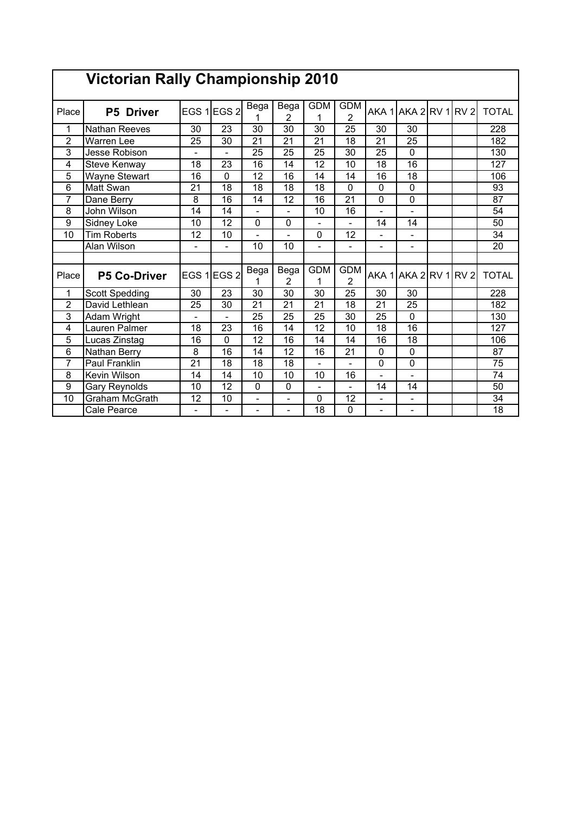|                 | <b>Victorian Rally Championship 2010</b> |                          |                          |                          |                          |                 |                 |                          |                          |  |                  |
|-----------------|------------------------------------------|--------------------------|--------------------------|--------------------------|--------------------------|-----------------|-----------------|--------------------------|--------------------------|--|------------------|
| Place           | <b>P5 Driver</b>                         |                          | EGS 1 EGS 2              | Bega                     | Bega<br>$\overline{2}$   | <b>GDM</b>      | <b>GDM</b><br>2 |                          | AKA 1AKA 2RV 1RV 2       |  | <b>TOTAL</b>     |
| 1               | <b>Nathan Reeves</b>                     | 30                       | 23                       | 30                       | 30                       | 30              | 25              | 30                       | 30                       |  | 228              |
| $\overline{2}$  | <b>Warren Lee</b>                        | 25                       | 30                       | 21                       | 21                       | 21              | 18              | 21                       | 25                       |  | 182              |
| 3               | Jesse Robison                            | $\overline{\phantom{0}}$ | $\overline{a}$           | $\overline{25}$          | $\overline{25}$          | $\overline{25}$ | $\overline{30}$ | $\overline{25}$          | $\overline{0}$           |  | 130              |
| 4               | <b>Steve Kenway</b>                      | 18                       | 23                       | 16                       | 14                       | 12              | 10              | 18                       | 16                       |  | 127              |
| 5               | Wayne Stewart                            | 16                       | 0                        | 12                       | 16                       | 14              | 14              | 16                       | 18                       |  | 106              |
| 6               | Matt Swan                                | 21                       | 18                       | 18                       | 18                       | 18              | 0               | 0                        | 0                        |  | $\overline{93}$  |
| $\overline{7}$  | Dane Berry                               | 8                        | 16                       | 14                       | 12                       | 16              | $\overline{21}$ | 0                        | $\overline{0}$           |  | 87               |
| 8               | John Wilson                              | 14                       | 14                       | ۰                        |                          | 10              | 16              |                          |                          |  | 54               |
| 9               | <b>Sidney Loke</b>                       | 10                       | $\overline{12}$          | 0                        | 0                        |                 |                 | 14                       | $\overline{14}$          |  | $\overline{50}$  |
| 10              | <b>Tim Roberts</b>                       | 12                       | 10                       | $\overline{\phantom{0}}$ |                          | 0               | $\overline{12}$ |                          |                          |  | $\overline{34}$  |
|                 | Alan Wilson                              | L,                       | $\overline{a}$           | 10                       | 10                       | $\blacksquare$  |                 | ۰                        |                          |  | 20               |
|                 |                                          |                          |                          |                          |                          |                 |                 |                          |                          |  |                  |
| Place           | <b>P5 Co-Driver</b>                      |                          | EGS 1 EGS 2              | Bega                     | Bega<br>2                | <b>GDM</b>      | <b>GDM</b><br>2 |                          | AKA 1 AKA 2 RV 1 RV 2    |  | <b>TOTAL</b>     |
| 1               | <b>Scott Spedding</b>                    | $\overline{30}$          | 23                       | $\overline{30}$          | 30                       | $\overline{30}$ | 25              | $\overline{30}$          | 30                       |  | 228              |
| $\overline{2}$  | David Lethlean                           | 25                       | $\overline{30}$          | 21                       | 21                       | 21              | 18              | 21                       | $\overline{25}$          |  | 182              |
| 3               | Adam Wright                              | $\overline{\phantom{0}}$ | $\overline{\phantom{0}}$ | 25                       | 25                       | 25              | 30              | 25                       | $\mathbf 0$              |  | 130              |
| 4               | Lauren Palmer                            | $\overline{18}$          | 23                       | $\overline{16}$          | 14                       | $\overline{12}$ | 10              | $\overline{18}$          | 16                       |  | $\overline{127}$ |
| 5               | Lucas Zinstag                            | 16                       | 0                        | 12                       | 16                       | 14              | 14              | 16                       | 18                       |  | 106              |
| $6\phantom{1}6$ | Nathan Berry                             | 8                        | 16                       | 14                       | 12                       | 16              | 21              | $\mathbf 0$              | $\mathbf 0$              |  | 87               |
| $\overline{7}$  | <b>Paul Franklin</b>                     | 21                       | 18                       | 18                       | 18                       |                 |                 | 0                        | $\mathbf 0$              |  | $\overline{75}$  |
| $\overline{8}$  | <b>Kevin Wilson</b>                      | 14                       | 14                       | $\overline{10}$          | $\overline{10}$          | 10              | $\overline{16}$ |                          |                          |  | $\overline{74}$  |
| 9               | Gary Reynolds                            | 10                       | 12                       | $\mathbf 0$              | 0                        | $\blacksquare$  |                 | 14                       | 14                       |  | 50               |
| 10              | <b>Graham McGrath</b>                    | $\overline{12}$          | $\overline{10}$          | L,                       |                          | 0               | $\overline{12}$ |                          |                          |  | 34               |
|                 | Cale Pearce                              | $\overline{\phantom{0}}$ | $\frac{1}{2}$            | $\overline{\phantom{0}}$ | $\overline{\phantom{0}}$ | 18              | 0               | $\overline{\phantom{0}}$ | $\overline{\phantom{0}}$ |  | 18               |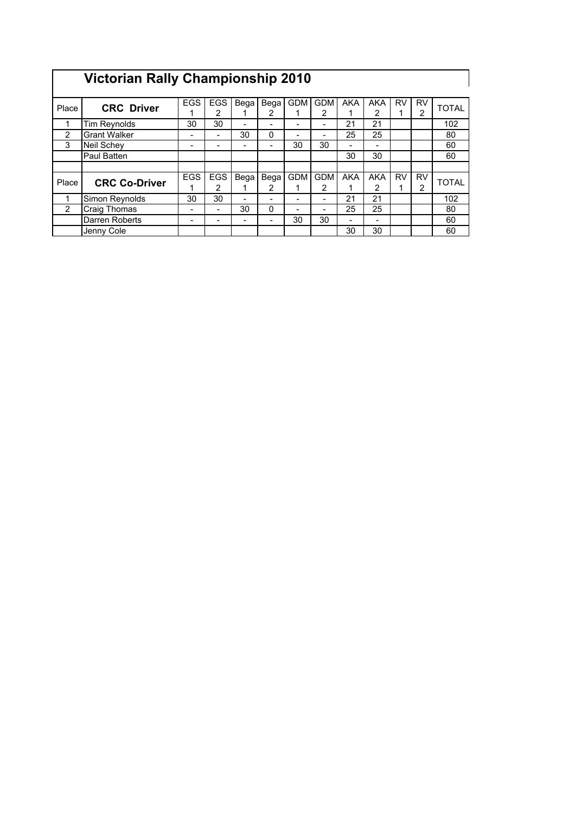## **Victorian Rally Championship 2010**

|                |                      | <b>EGS</b> | EGS                      | Bega                     | Bega | <b>GDM</b> | <b>GDM</b> | <b>AKA</b>               | <b>AKA</b> | RV | RV |              |
|----------------|----------------------|------------|--------------------------|--------------------------|------|------------|------------|--------------------------|------------|----|----|--------------|
| Place          | <b>CRC Driver</b>    |            | 2                        |                          | 2    |            | 2          |                          | 2          |    | າ  | <b>TOTAL</b> |
| 4              | Tim Reynolds         | 30         | 30                       | $\overline{\phantom{a}}$ |      |            |            | 21                       | 21         |    |    | 102          |
| 2              | <b>Grant Walker</b>  | -          | $\overline{\phantom{0}}$ | 30                       | 0    |            |            | 25                       | 25         |    |    | 80           |
| 3              | <b>Neil Schey</b>    |            |                          | $\overline{\phantom{0}}$ |      | 30         | 30         | -                        |            |    |    | 60           |
|                | Paul Batten          |            |                          |                          |      |            |            | 30                       | 30         |    |    | 60           |
|                |                      |            |                          |                          |      |            |            |                          |            |    |    |              |
| Place          | <b>CRC Co-Driver</b> | <b>EGS</b> | <b>EGS</b>               | Bega                     | Bega | <b>GDM</b> | <b>GDM</b> | <b>AKA</b>               | <b>AKA</b> | RV | RV | <b>TOTAL</b> |
|                |                      |            | 2                        |                          | 2    |            | 2          |                          | 2          |    | 2  |              |
|                | Simon Reynolds       | 30         | 30                       | $\,$                     |      |            |            | 21                       | 21         |    |    | 102          |
| $\overline{2}$ | <b>Craig Thomas</b>  |            |                          | 30                       | 0    |            |            | 25                       | 25         |    |    | 80           |
|                | Darren Roberts       |            |                          | $\overline{\phantom{0}}$ |      | 30         | 30         | $\overline{\phantom{0}}$ |            |    |    | 60           |
|                | Jenny Cole           |            |                          |                          |      |            |            | 30                       | 30         |    |    | 60           |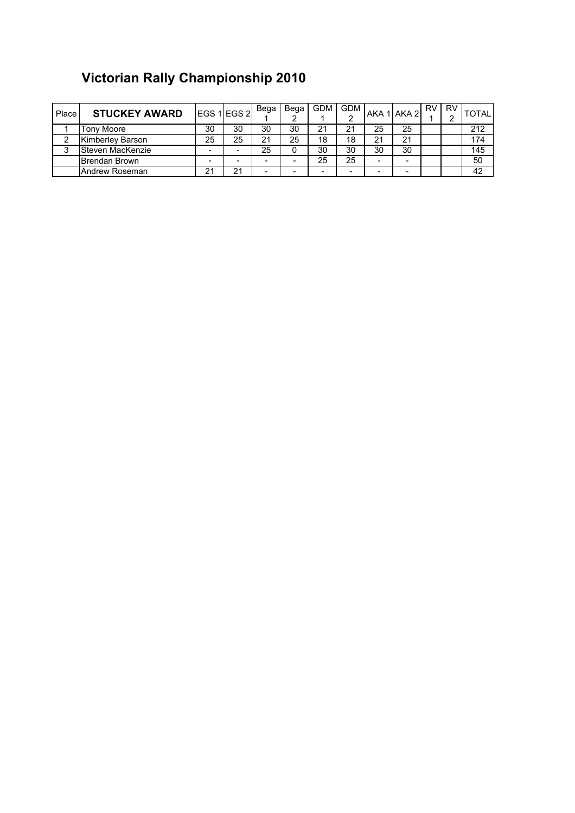## **Victorian Rally Championship 2010**

| Place   | <b>STUCKEY AWARD</b> |    | EGS 1 EGS 2 | Bega | Bega | <b>GDM</b> | <b>GDM</b>               |                          | AKA 1 AKA 2 | <b>RV</b> | RV<br>ີ | <b>TOTAL</b> |
|---------|----------------------|----|-------------|------|------|------------|--------------------------|--------------------------|-------------|-----------|---------|--------------|
|         | Tony Moore           | 30 | 30          | 30   | 30   | 21         | 21                       | 25                       | 25          |           |         | 212          |
|         | Kimberley Barson     | 25 | 25          | 21   | 25   | 18         | 18                       | 21                       | 21          |           |         | 174          |
| ◠<br>ر، | Steven MacKenzie     |    | -           | 25   |      | 30         | 30                       | 30                       | 30          |           |         | 145          |
|         | Brendan Brown        |    | -           | -    |      | 25         | 25                       | -                        | -           |           |         | 50           |
|         | Andrew Roseman       | 21 | 21          | ۰.   |      |            | $\overline{\phantom{0}}$ | $\overline{\phantom{0}}$ | -           |           |         | 42           |